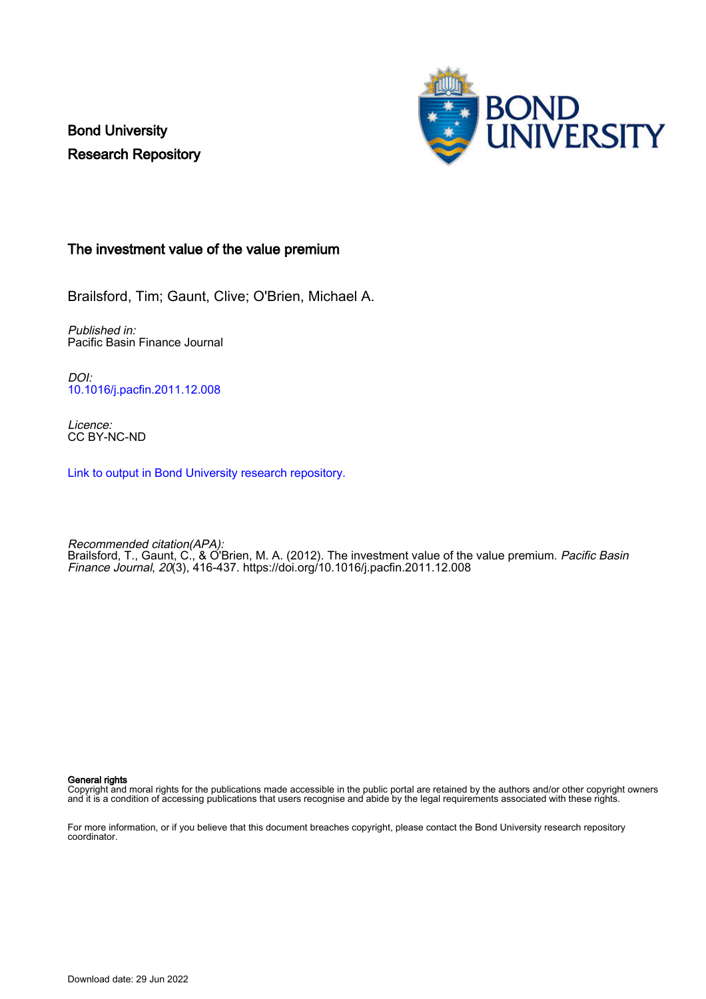Bond University Research Repository



## The investment value of the value premium

Brailsford, Tim; Gaunt, Clive; O'Brien, Michael A.

Published in: Pacific Basin Finance Journal

DOI: [10.1016/j.pacfin.2011.12.008](https://doi.org/10.1016/j.pacfin.2011.12.008)

Licence: CC BY-NC-ND

[Link to output in Bond University research repository.](https://research.bond.edu.au/en/publications/50435968-fa3c-4e6a-a4f3-efe487f9e1e9)

Recommended citation(APA): Brailsford, T., Gaunt, C., & O'Brien, M. A. (2012). The investment value of the value premium. *Pacific Basin* Finance Journal, 20(3), 416-437. <https://doi.org/10.1016/j.pacfin.2011.12.008>

## General rights

Copyright and moral rights for the publications made accessible in the public portal are retained by the authors and/or other copyright owners and it is a condition of accessing publications that users recognise and abide by the legal requirements associated with these rights.

For more information, or if you believe that this document breaches copyright, please contact the Bond University research repository coordinator.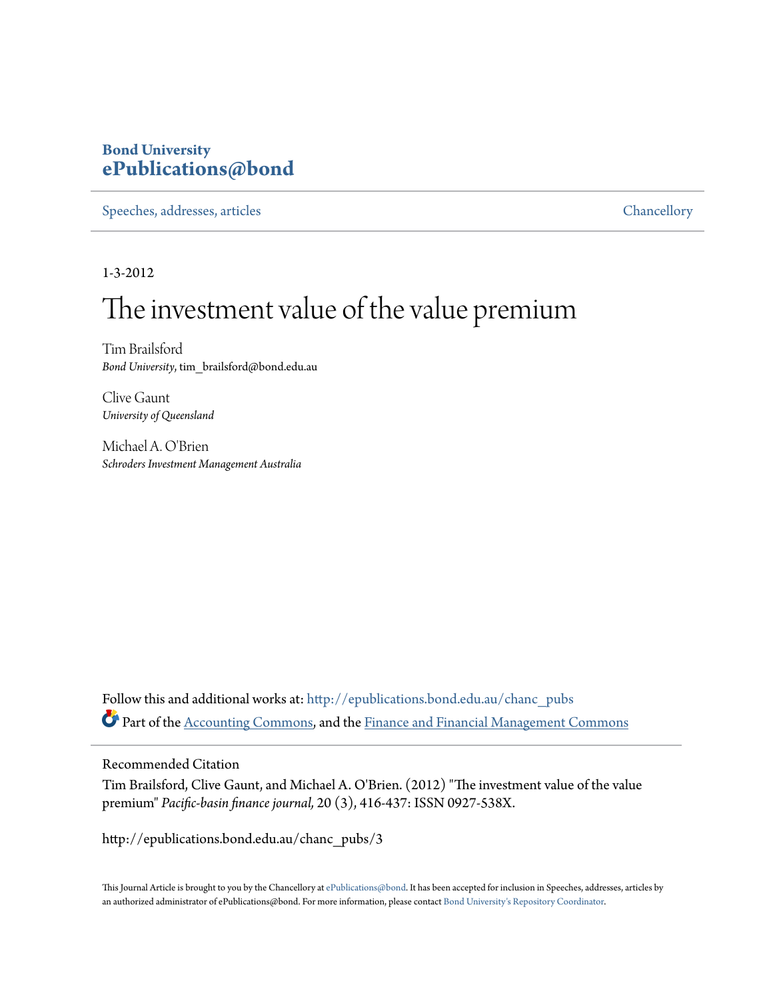## **Bond University [ePublications@bond](http://epublications.bond.edu.au?utm_source=epublications.bond.edu.au%2Fchanc_pubs%2F3&utm_medium=PDF&utm_campaign=PDFCoverPages)**

[Speeches, addresses, articles](http://epublications.bond.edu.au/chanc_pubs?utm_source=epublications.bond.edu.au%2Fchanc_pubs%2F3&utm_medium=PDF&utm_campaign=PDFCoverPages) [Chancellory](http://epublications.bond.edu.au/chancellery?utm_source=epublications.bond.edu.au%2Fchanc_pubs%2F3&utm_medium=PDF&utm_campaign=PDFCoverPages)

1-3-2012

## The investment value of the value premium

Tim Brailsford *Bond University*, tim\_brailsford@bond.edu.au

Clive Gaunt *University of Queensland*

Michael A. O'Brien *Schroders Investment Management Australia*

Follow this and additional works at: [http://epublications.bond.edu.au/chanc\\_pubs](http://epublications.bond.edu.au/chanc_pubs?utm_source=epublications.bond.edu.au%2Fchanc_pubs%2F3&utm_medium=PDF&utm_campaign=PDFCoverPages) Part of the [Accounting Commons](http://network.bepress.com/hgg/discipline/625?utm_source=epublications.bond.edu.au%2Fchanc_pubs%2F3&utm_medium=PDF&utm_campaign=PDFCoverPages), and the [Finance and Financial Management Commons](http://network.bepress.com/hgg/discipline/631?utm_source=epublications.bond.edu.au%2Fchanc_pubs%2F3&utm_medium=PDF&utm_campaign=PDFCoverPages)

## Recommended Citation

Tim Brailsford, Clive Gaunt, and Michael A. O'Brien. (2012) "The investment value of the value premium" *Pacific-basin finance journal,* 20 (3), 416-437: ISSN 0927-538X.

http://epublications.bond.edu.au/chanc\_pubs/3

This Journal Article is brought to you by the Chancellory at [ePublications@bond.](http://epublications.bond.edu.au) It has been accepted for inclusion in Speeches, addresses, articles by an authorized administrator of ePublications@bond. For more information, please contact [Bond University's Repository Coordinator.](mailto:acass@bond.edu.au)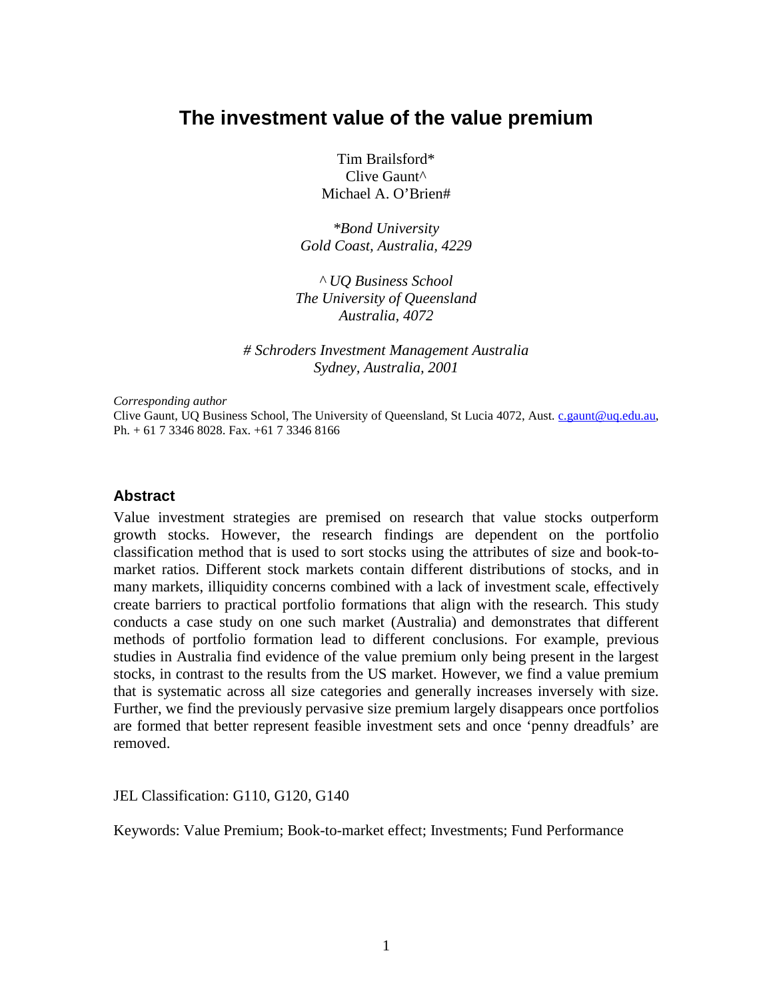## **The investment value of the value premium**

Tim Brailsford\* Clive Gaunt^ Michael A. O'Brien#

*\*Bond University Gold Coast, Australia, 4229*

*^ UQ Business School The University of Queensland Australia, 4072*

*# Schroders Investment Management Australia Sydney, Australia, 2001*

*Corresponding author*

Clive Gaunt, UQ Business School, The University of Queensland, St Lucia 4072, Aust. [c.gaunt@uq.edu.au,](mailto:c.gaunt@uq.edu.au)  Ph. + 61 7 3346 8028. Fax. +61 7 3346 8166

## **Abstract**

Value investment strategies are premised on research that value stocks outperform growth stocks. However, the research findings are dependent on the portfolio classification method that is used to sort stocks using the attributes of size and book-tomarket ratios. Different stock markets contain different distributions of stocks, and in many markets, illiquidity concerns combined with a lack of investment scale, effectively create barriers to practical portfolio formations that align with the research. This study conducts a case study on one such market (Australia) and demonstrates that different methods of portfolio formation lead to different conclusions. For example, previous studies in Australia find evidence of the value premium only being present in the largest stocks, in contrast to the results from the US market. However, we find a value premium that is systematic across all size categories and generally increases inversely with size. Further, we find the previously pervasive size premium largely disappears once portfolios are formed that better represent feasible investment sets and once 'penny dreadfuls' are removed.

JEL Classification: G110, G120, G140

<span id="page-2-0"></span>Keywords: Value Premium; Book-to-market effect; Investments; Fund Performance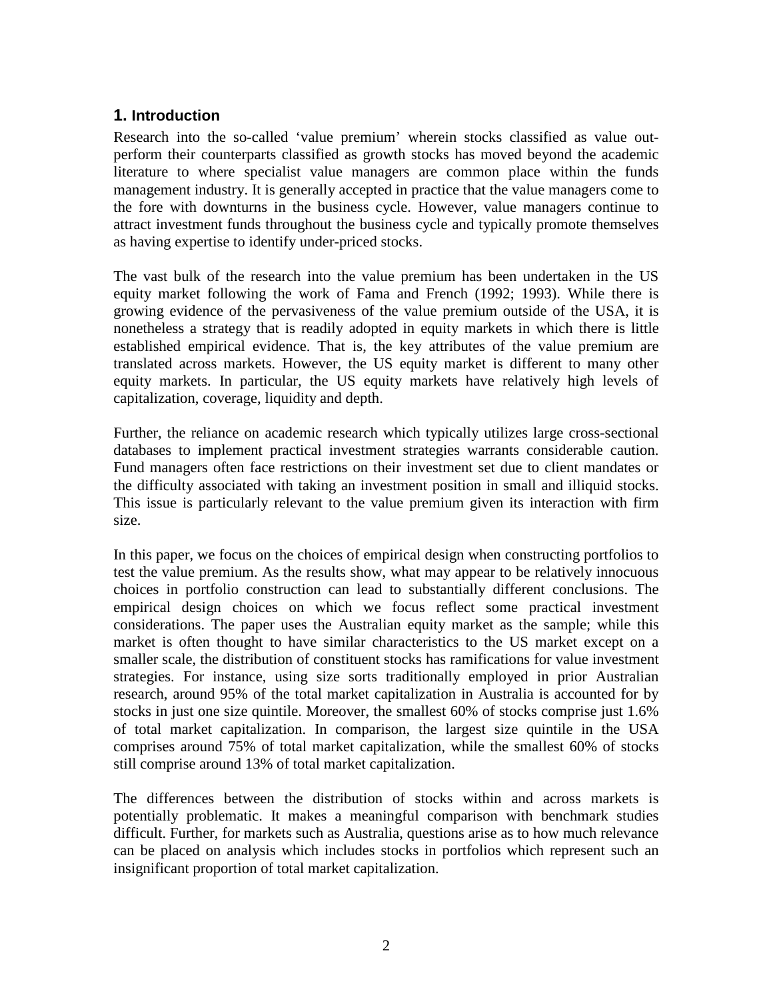## **1. Introduction**

Research into the so-called 'value premium' wherein stocks classified as value outperform their counterparts classified as growth stocks has moved beyond the academic literature to where specialist value managers are common place within the funds management industry. It is generally accepted in practice that the value managers come to the fore with downturns in the business cycle. However, value managers continue to attract investment funds throughout the business cycle and typically promote themselves as having expertise to identify under-priced stocks.

The vast bulk of the research into the value premium has been undertaken in the US equity market following the work of Fama and French (1992; 1993). While there is growing evidence of the pervasiveness of the value premium outside of the USA, it is nonetheless a strategy that is readily adopted in equity markets in which there is little established empirical evidence. That is, the key attributes of the value premium are translated across markets. However, the US equity market is different to many other equity markets. In particular, the US equity markets have relatively high levels of capitalization, coverage, liquidity and depth.

Further, the reliance on academic research which typically utilizes large cross-sectional databases to implement practical investment strategies warrants considerable caution. Fund managers often face restrictions on their investment set due to client mandates or the difficulty associated with taking an investment position in small and illiquid stocks. This issue is particularly relevant to the value premium given its interaction with firm size.

In this paper, we focus on the choices of empirical design when constructing portfolios to test the value premium. As the results show, what may appear to be relatively innocuous choices in portfolio construction can lead to substantially different conclusions. The empirical design choices on which we focus reflect some practical investment considerations. The paper uses the Australian equity market as the sample; while this market is often thought to have similar characteristics to the US market except on a smaller scale, the distribution of constituent stocks has ramifications for value investment strategies. For instance, using size sorts traditionally employed in prior Australian research, around 95% of the total market capitalization in Australia is accounted for by stocks in just one size quintile. Moreover, the smallest 60% of stocks comprise just 1.6% of total market capitalization. In comparison, the largest size quintile in the USA comprises around 75% of total market capitalization, while the smallest 60% of stocks still comprise around 13% of total market capitalization.

The differences between the distribution of stocks within and across markets is potentially problematic. It makes a meaningful comparison with benchmark studies difficult. Further, for markets such as Australia, questions arise as to how much relevance can be placed on analysis which includes stocks in portfolios which represent such an insignificant proportion of total market capitalization.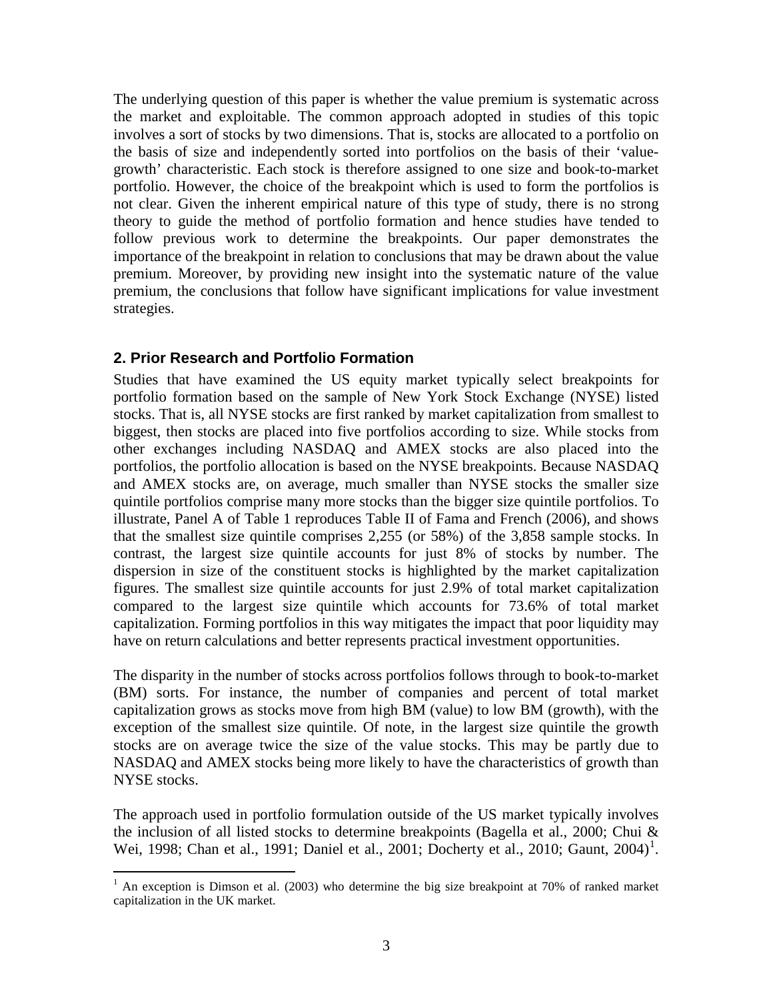The underlying question of this paper is whether the value premium is systematic across the market and exploitable. The common approach adopted in studies of this topic involves a sort of stocks by two dimensions. That is, stocks are allocated to a portfolio on the basis of size and independently sorted into portfolios on the basis of their 'valuegrowth' characteristic. Each stock is therefore assigned to one size and book-to-market portfolio. However, the choice of the breakpoint which is used to form the portfolios is not clear. Given the inherent empirical nature of this type of study, there is no strong theory to guide the method of portfolio formation and hence studies have tended to follow previous work to determine the breakpoints. Our paper demonstrates the importance of the breakpoint in relation to conclusions that may be drawn about the value premium. Moreover, by providing new insight into the systematic nature of the value premium, the conclusions that follow have significant implications for value investment strategies.

## **2. Prior Research and Portfolio Formation**

Studies that have examined the US equity market typically select breakpoints for portfolio formation based on the sample of New York Stock Exchange (NYSE) listed stocks. That is, all NYSE stocks are first ranked by market capitalization from smallest to biggest, then stocks are placed into five portfolios according to size. While stocks from other exchanges including NASDAQ and AMEX stocks are also placed into the portfolios, the portfolio allocation is based on the NYSE breakpoints. Because NASDAQ and AMEX stocks are, on average, much smaller than NYSE stocks the smaller size quintile portfolios comprise many more stocks than the bigger size quintile portfolios. To illustrate, Panel A of Table 1 reproduces Table II of Fama and French (2006), and shows that the smallest size quintile comprises 2,255 (or 58%) of the 3,858 sample stocks. In contrast, the largest size quintile accounts for just 8% of stocks by number. The dispersion in size of the constituent stocks is highlighted by the market capitalization figures. The smallest size quintile accounts for just 2.9% of total market capitalization compared to the largest size quintile which accounts for 73.6% of total market capitalization. Forming portfolios in this way mitigates the impact that poor liquidity may have on return calculations and better represents practical investment opportunities.

The disparity in the number of stocks across portfolios follows through to book-to-market (BM) sorts. For instance, the number of companies and percent of total market capitalization grows as stocks move from high BM (value) to low BM (growth), with the exception of the smallest size quintile. Of note, in the largest size quintile the growth stocks are on average twice the size of the value stocks. This may be partly due to NASDAQ and AMEX stocks being more likely to have the characteristics of growth than NYSE stocks.

The approach used in portfolio formulation outside of the US market typically involves the inclusion of all listed stocks to determine breakpoints (Bagella et al., 2000; Chui & Wei, [1](#page-2-0)998; Chan et al., 1991; Daniel et al., 2001; Docherty et al., 2010; Gaunt, 2004)<sup>1</sup>.

<span id="page-4-0"></span> $1$  An exception is Dimson et al. (2003) who determine the big size breakpoint at 70% of ranked market capitalization in the UK market.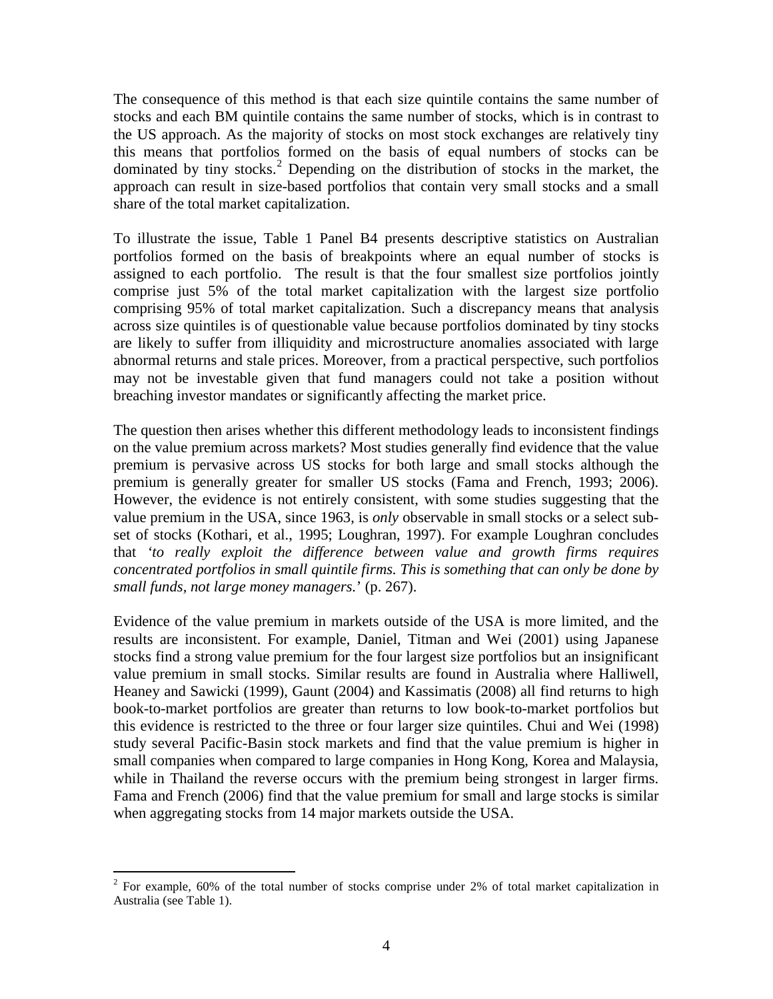The consequence of this method is that each size quintile contains the same number of stocks and each BM quintile contains the same number of stocks, which is in contrast to the US approach. As the majority of stocks on most stock exchanges are relatively tiny this means that portfolios formed on the basis of equal numbers of stocks can be dominated by tiny stocks.<sup>[2](#page-4-0)</sup> Depending on the distribution of stocks in the market, the approach can result in size-based portfolios that contain very small stocks and a small share of the total market capitalization.

To illustrate the issue, Table 1 Panel B4 presents descriptive statistics on Australian portfolios formed on the basis of breakpoints where an equal number of stocks is assigned to each portfolio. The result is that the four smallest size portfolios jointly comprise just 5% of the total market capitalization with the largest size portfolio comprising 95% of total market capitalization. Such a discrepancy means that analysis across size quintiles is of questionable value because portfolios dominated by tiny stocks are likely to suffer from illiquidity and microstructure anomalies associated with large abnormal returns and stale prices. Moreover, from a practical perspective, such portfolios may not be investable given that fund managers could not take a position without breaching investor mandates or significantly affecting the market price.

The question then arises whether this different methodology leads to inconsistent findings on the value premium across markets? Most studies generally find evidence that the value premium is pervasive across US stocks for both large and small stocks although the premium is generally greater for smaller US stocks (Fama and French, 1993; 2006). However, the evidence is not entirely consistent, with some studies suggesting that the value premium in the USA, since 1963, is *only* observable in small stocks or a select subset of stocks (Kothari, et al., 1995; Loughran, 1997). For example Loughran concludes that *'to really exploit the difference between value and growth firms requires concentrated portfolios in small quintile firms. This is something that can only be done by small funds, not large money managers.*' (p. 267).

Evidence of the value premium in markets outside of the USA is more limited, and the results are inconsistent. For example, Daniel, Titman and Wei (2001) using Japanese stocks find a strong value premium for the four largest size portfolios but an insignificant value premium in small stocks. Similar results are found in Australia where Halliwell, Heaney and Sawicki (1999), Gaunt (2004) and Kassimatis (2008) all find returns to high book-to-market portfolios are greater than returns to low book-to-market portfolios but this evidence is restricted to the three or four larger size quintiles. Chui and Wei (1998) study several Pacific-Basin stock markets and find that the value premium is higher in small companies when compared to large companies in Hong Kong, Korea and Malaysia, while in Thailand the reverse occurs with the premium being strongest in larger firms. Fama and French (2006) find that the value premium for small and large stocks is similar when aggregating stocks from 14 major markets outside the USA.

<span id="page-5-0"></span> $2^{2}$  For example, 60% of the total number of stocks comprise under 2% of total market capitalization in Australia (see Table 1).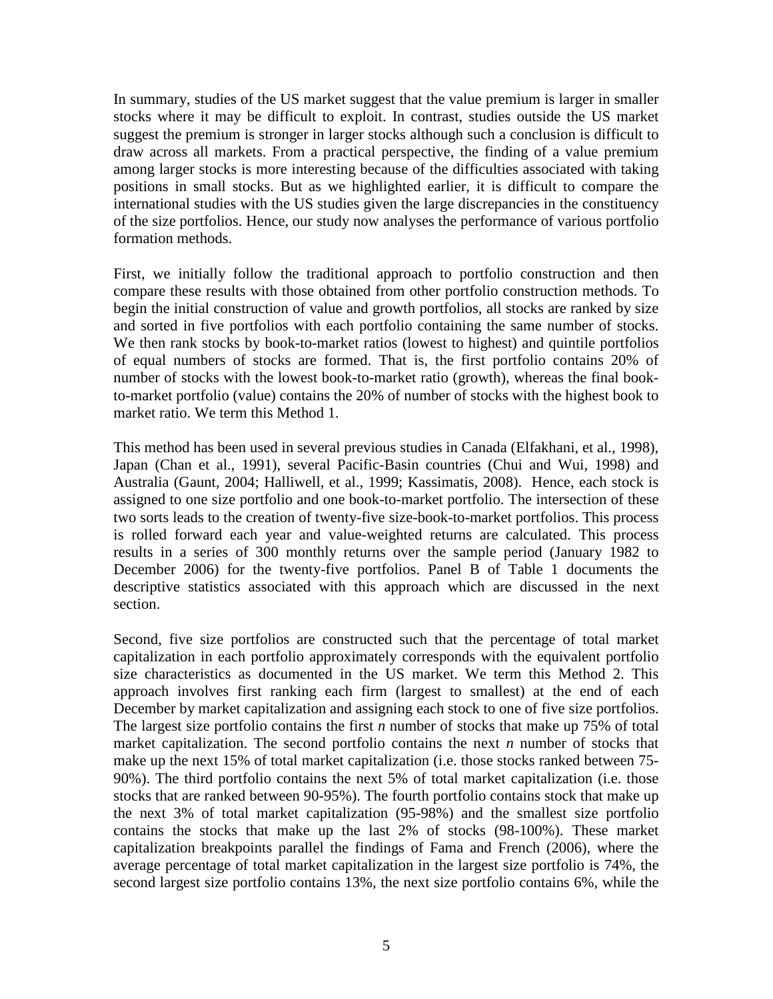In summary, studies of the US market suggest that the value premium is larger in smaller stocks where it may be difficult to exploit. In contrast, studies outside the US market suggest the premium is stronger in larger stocks although such a conclusion is difficult to draw across all markets. From a practical perspective, the finding of a value premium among larger stocks is more interesting because of the difficulties associated with taking positions in small stocks. But as we highlighted earlier, it is difficult to compare the international studies with the US studies given the large discrepancies in the constituency of the size portfolios. Hence, our study now analyses the performance of various portfolio formation methods.

First, we initially follow the traditional approach to portfolio construction and then compare these results with those obtained from other portfolio construction methods. To begin the initial construction of value and growth portfolios, all stocks are ranked by size and sorted in five portfolios with each portfolio containing the same number of stocks. We then rank stocks by book-to-market ratios (lowest to highest) and quintile portfolios of equal numbers of stocks are formed. That is, the first portfolio contains 20% of number of stocks with the lowest book-to-market ratio (growth), whereas the final bookto-market portfolio (value) contains the 20% of number of stocks with the highest book to market ratio. We term this Method 1.

This method has been used in several previous studies in Canada (Elfakhani, et al., 1998), Japan (Chan et al., 1991), several Pacific-Basin countries (Chui and Wui, 1998) and Australia (Gaunt, 2004; Halliwell, et al., 1999; Kassimatis, 2008). Hence, each stock is assigned to one size portfolio and one book-to-market portfolio. The intersection of these two sorts leads to the creation of twenty-five size-book-to-market portfolios. This process is rolled forward each year and value-weighted returns are calculated. This process results in a series of 300 monthly returns over the sample period (January 1982 to December 2006) for the twenty-five portfolios. Panel B of Table 1 documents the descriptive statistics associated with this approach which are discussed in the next section.

Second, five size portfolios are constructed such that the percentage of total market capitalization in each portfolio approximately corresponds with the equivalent portfolio size characteristics as documented in the US market. We term this Method 2. This approach involves first ranking each firm (largest to smallest) at the end of each December by market capitalization and assigning each stock to one of five size portfolios. The largest size portfolio contains the first *n* number of stocks that make up 75% of total market capitalization. The second portfolio contains the next *n* number of stocks that make up the next 15% of total market capitalization (i.e. those stocks ranked between 75- 90%). The third portfolio contains the next 5% of total market capitalization (i.e. those stocks that are ranked between 90-95%). The fourth portfolio contains stock that make up the next 3% of total market capitalization (95-98%) and the smallest size portfolio contains the stocks that make up the last 2% of stocks (98-100%). These market capitalization breakpoints parallel the findings of Fama and French (2006), where the average percentage of total market capitalization in the largest size portfolio is 74%, the second largest size portfolio contains 13%, the next size portfolio contains 6%, while the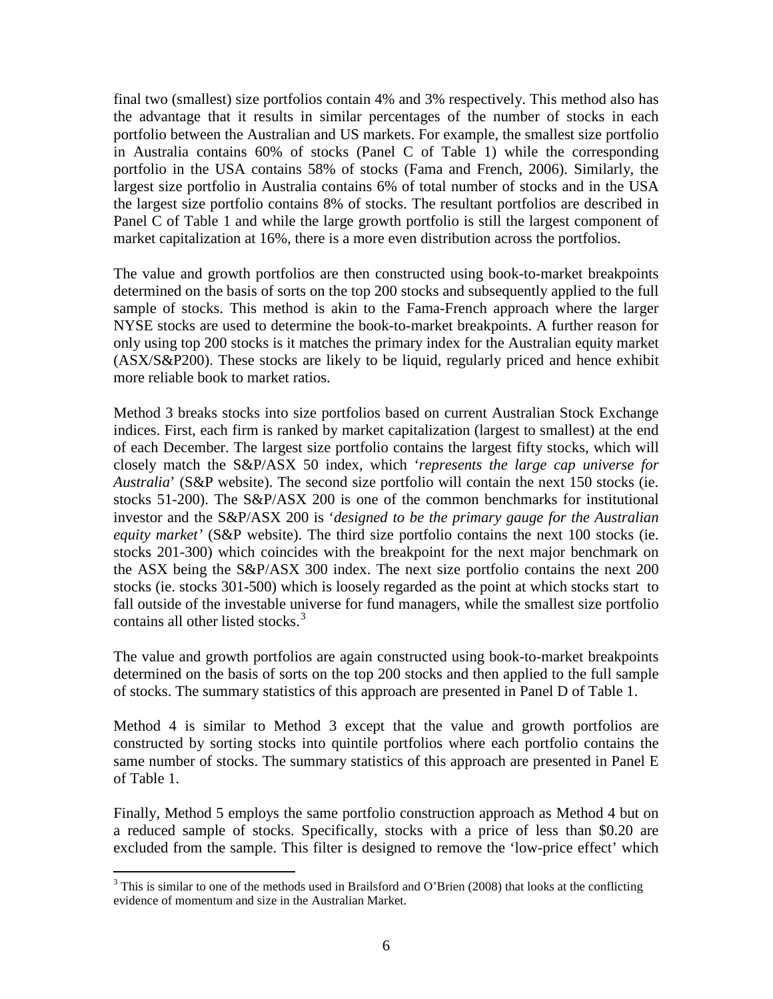final two (smallest) size portfolios contain 4% and 3% respectively. This method also has the advantage that it results in similar percentages of the number of stocks in each portfolio between the Australian and US markets. For example, the smallest size portfolio in Australia contains 60% of stocks (Panel C of Table 1) while the corresponding portfolio in the USA contains 58% of stocks (Fama and French, 2006). Similarly, the largest size portfolio in Australia contains 6% of total number of stocks and in the USA the largest size portfolio contains 8% of stocks. The resultant portfolios are described in Panel C of Table 1 and while the large growth portfolio is still the largest component of market capitalization at 16%, there is a more even distribution across the portfolios.

The value and growth portfolios are then constructed using book-to-market breakpoints determined on the basis of sorts on the top 200 stocks and subsequently applied to the full sample of stocks. This method is akin to the Fama-French approach where the larger NYSE stocks are used to determine the book-to-market breakpoints. A further reason for only using top 200 stocks is it matches the primary index for the Australian equity market (ASX/S&P200). These stocks are likely to be liquid, regularly priced and hence exhibit more reliable book to market ratios.

Method 3 breaks stocks into size portfolios based on current Australian Stock Exchange indices. First, each firm is ranked by market capitalization (largest to smallest) at the end of each December. The largest size portfolio contains the largest fifty stocks, which will closely match the S&P/ASX 50 index, which '*represents the large cap universe for Australia*' (S&P website). The second size portfolio will contain the next 150 stocks (ie. stocks 51-200). The S&P/ASX 200 is one of the common benchmarks for institutional investor and the S&P/ASX 200 is '*designed to be the primary gauge for the Australian equity market'* (S&P website). The third size portfolio contains the next 100 stocks (ie. stocks 201-300) which coincides with the breakpoint for the next major benchmark on the ASX being the S&P/ASX 300 index. The next size portfolio contains the next 200 stocks (ie. stocks 301-500) which is loosely regarded as the point at which stocks start to fall outside of the investable universe for fund managers, while the smallest size portfolio contains all other listed stocks.<sup>[3](#page-5-0)</sup>

The value and growth portfolios are again constructed using book-to-market breakpoints determined on the basis of sorts on the top 200 stocks and then applied to the full sample of stocks. The summary statistics of this approach are presented in Panel D of Table 1.

Method 4 is similar to Method 3 except that the value and growth portfolios are constructed by sorting stocks into quintile portfolios where each portfolio contains the same number of stocks. The summary statistics of this approach are presented in Panel E of Table 1.

Finally, Method 5 employs the same portfolio construction approach as Method 4 but on a reduced sample of stocks. Specifically, stocks with a price of less than \$0.20 are excluded from the sample. This filter is designed to remove the 'low-price effect' which

<span id="page-7-0"></span><sup>&</sup>lt;sup>3</sup> This is similar to one of the methods used in Brailsford and O'Brien (2008) that looks at the conflicting evidence of momentum and size in the Australian Market.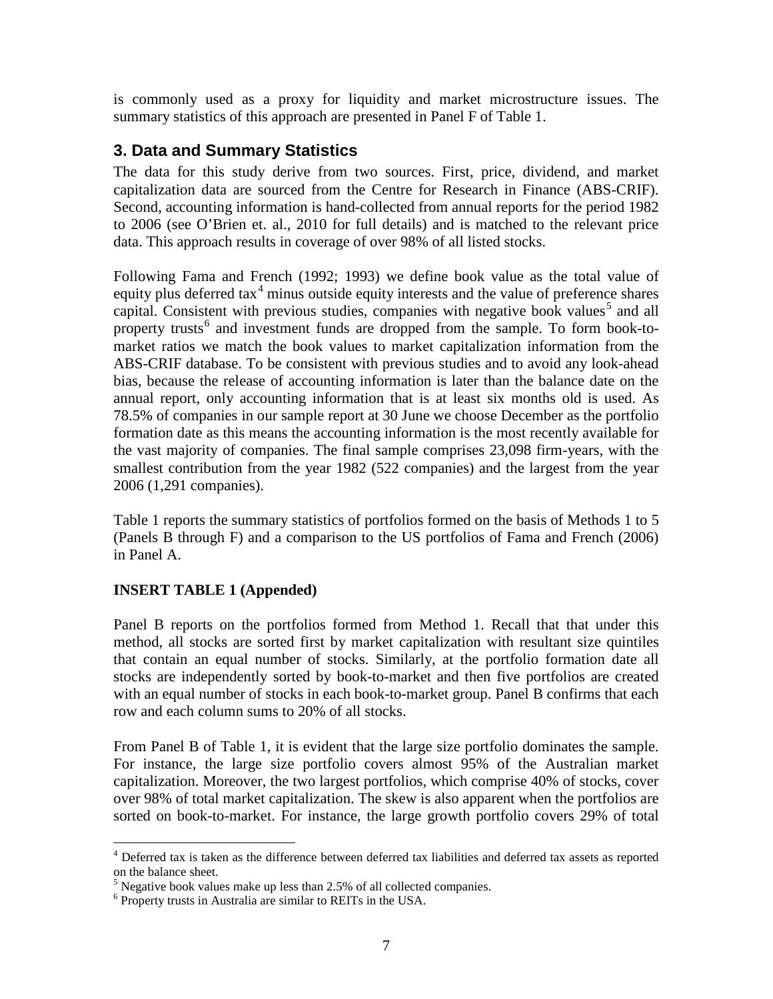is commonly used as a proxy for liquidity and market microstructure issues. The summary statistics of this approach are presented in Panel F of Table 1.

## **3. Data and Summary Statistics**

The data for this study derive from two sources. First, price, dividend, and market capitalization data are sourced from the Centre for Research in Finance (ABS-CRIF). Second, accounting information is hand-collected from annual reports for the period 1982 to 2006 (see O'Brien et. al., 2010 for full details) and is matched to the relevant price data. This approach results in coverage of over 98% of all listed stocks.

Following Fama and French (1992; 1993) we define book value as the total value of equity plus deferred  $\text{tax}^4$  $\text{tax}^4$  minus outside equity interests and the value of preference shares capital. Consistent with previous studies, companies with negative book values<sup>[5](#page-8-0)</sup> and all property trusts<sup>[6](#page-8-0)</sup> and investment funds are dropped from the sample. To form book-tomarket ratios we match the book values to market capitalization information from the ABS-CRIF database. To be consistent with previous studies and to avoid any look-ahead bias, because the release of accounting information is later than the balance date on the annual report, only accounting information that is at least six months old is used. As 78.5% of companies in our sample report at 30 June we choose December as the portfolio formation date as this means the accounting information is the most recently available for the vast majority of companies. The final sample comprises 23,098 firm-years, with the smallest contribution from the year 1982 (522 companies) and the largest from the year 2006 (1,291 companies).

Table 1 reports the summary statistics of portfolios formed on the basis of Methods 1 to 5 (Panels B through F) and a comparison to the US portfolios of Fama and French (2006) in Panel A.

## **INSERT TABLE 1 (Appended)**

Panel B reports on the portfolios formed from Method 1. Recall that that under this method, all stocks are sorted first by market capitalization with resultant size quintiles that contain an equal number of stocks. Similarly, at the portfolio formation date all stocks are independently sorted by book-to-market and then five portfolios are created with an equal number of stocks in each book-to-market group. Panel B confirms that each row and each column sums to 20% of all stocks.

From Panel B of Table 1, it is evident that the large size portfolio dominates the sample. For instance, the large size portfolio covers almost 95% of the Australian market capitalization. Moreover, the two largest portfolios, which comprise 40% of stocks, cover over 98% of total market capitalization. The skew is also apparent when the portfolios are sorted on book-to-market. For instance, the large growth portfolio covers 29% of total

<span id="page-8-0"></span> <sup>4</sup> Deferred tax is taken as the difference between deferred tax liabilities and deferred tax assets as reported on the balance sheet.

<span id="page-8-1"></span> $<sup>5</sup>$  Negative book values make up less than 2.5% of all collected companies.</sup>

<sup>&</sup>lt;sup>6</sup> Property trusts in Australia are similar to REITs in the USA.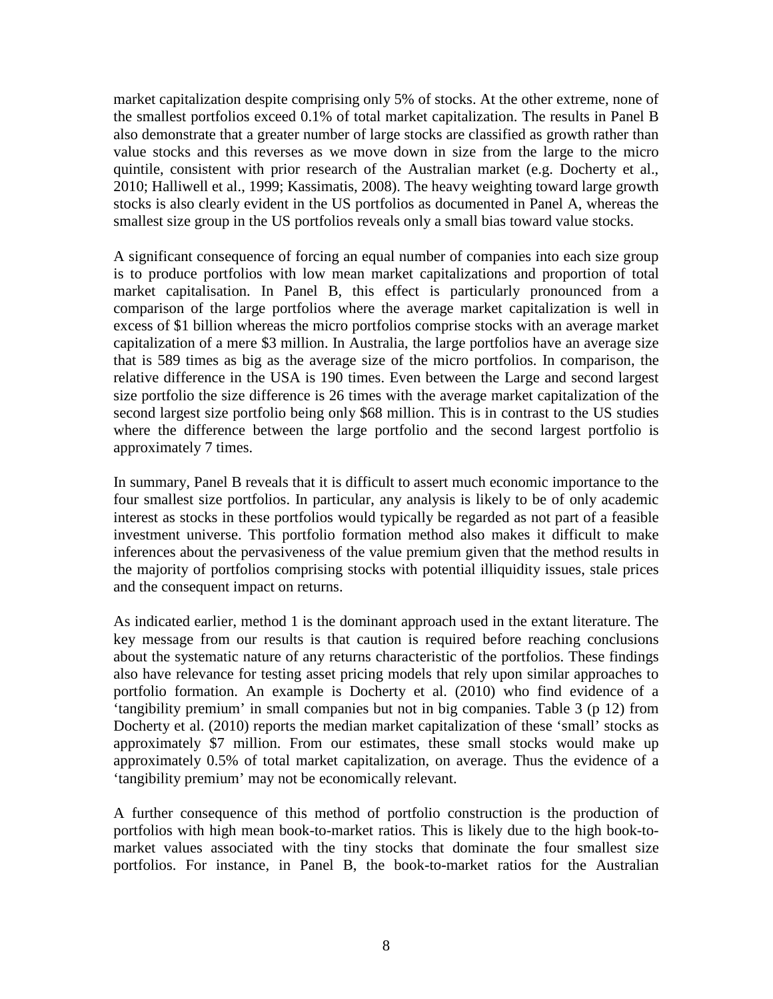market capitalization despite comprising only 5% of stocks. At the other extreme, none of the smallest portfolios exceed 0.1% of total market capitalization. The results in Panel B also demonstrate that a greater number of large stocks are classified as growth rather than value stocks and this reverses as we move down in size from the large to the micro quintile, consistent with prior research of the Australian market (e.g. Docherty et al., 2010; Halliwell et al., 1999; Kassimatis, 2008). The heavy weighting toward large growth stocks is also clearly evident in the US portfolios as documented in Panel A, whereas the smallest size group in the US portfolios reveals only a small bias toward value stocks.

A significant consequence of forcing an equal number of companies into each size group is to produce portfolios with low mean market capitalizations and proportion of total market capitalisation. In Panel B, this effect is particularly pronounced from a comparison of the large portfolios where the average market capitalization is well in excess of \$1 billion whereas the micro portfolios comprise stocks with an average market capitalization of a mere \$3 million. In Australia, the large portfolios have an average size that is 589 times as big as the average size of the micro portfolios. In comparison, the relative difference in the USA is 190 times. Even between the Large and second largest size portfolio the size difference is 26 times with the average market capitalization of the second largest size portfolio being only \$68 million. This is in contrast to the US studies where the difference between the large portfolio and the second largest portfolio is approximately 7 times.

In summary, Panel B reveals that it is difficult to assert much economic importance to the four smallest size portfolios. In particular, any analysis is likely to be of only academic interest as stocks in these portfolios would typically be regarded as not part of a feasible investment universe. This portfolio formation method also makes it difficult to make inferences about the pervasiveness of the value premium given that the method results in the majority of portfolios comprising stocks with potential illiquidity issues, stale prices and the consequent impact on returns.

As indicated earlier, method 1 is the dominant approach used in the extant literature. The key message from our results is that caution is required before reaching conclusions about the systematic nature of any returns characteristic of the portfolios. These findings also have relevance for testing asset pricing models that rely upon similar approaches to portfolio formation. An example is Docherty et al. (2010) who find evidence of a 'tangibility premium' in small companies but not in big companies. Table 3 (p 12) from Docherty et al. (2010) reports the median market capitalization of these 'small' stocks as approximately \$7 million. From our estimates, these small stocks would make up approximately 0.5% of total market capitalization, on average. Thus the evidence of a 'tangibility premium' may not be economically relevant.

A further consequence of this method of portfolio construction is the production of portfolios with high mean book-to-market ratios. This is likely due to the high book-tomarket values associated with the tiny stocks that dominate the four smallest size portfolios. For instance, in Panel B, the book-to-market ratios for the Australian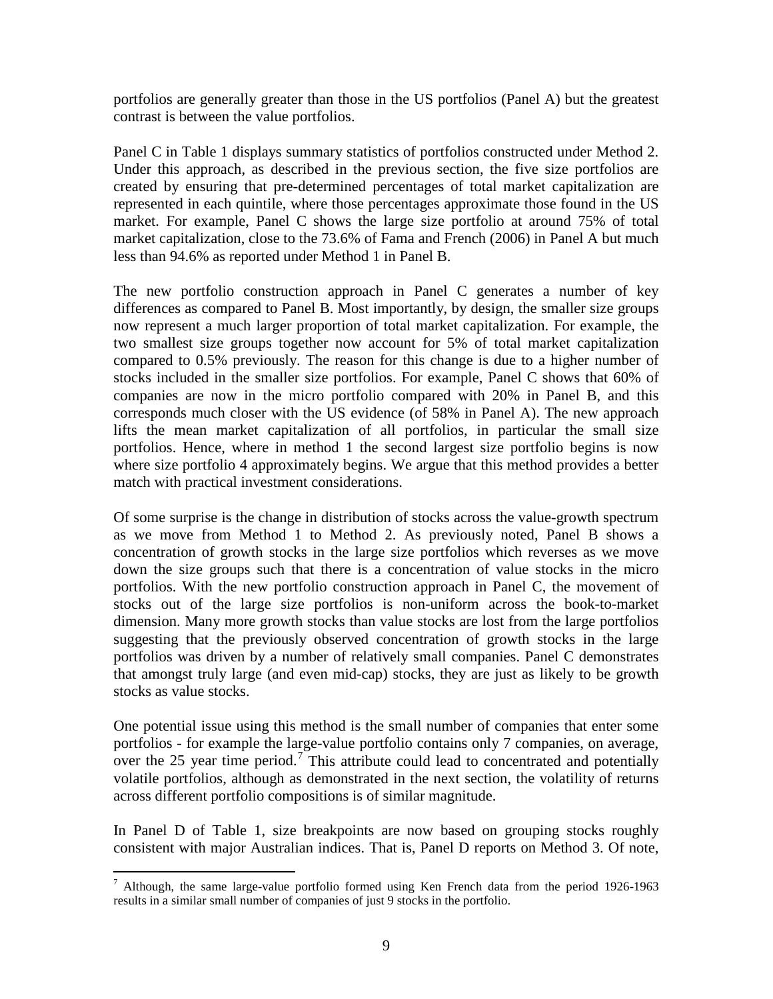portfolios are generally greater than those in the US portfolios (Panel A) but the greatest contrast is between the value portfolios.

Panel C in Table 1 displays summary statistics of portfolios constructed under Method 2. Under this approach, as described in the previous section, the five size portfolios are created by ensuring that pre-determined percentages of total market capitalization are represented in each quintile, where those percentages approximate those found in the US market. For example, Panel C shows the large size portfolio at around 75% of total market capitalization, close to the 73.6% of Fama and French (2006) in Panel A but much less than 94.6% as reported under Method 1 in Panel B.

The new portfolio construction approach in Panel C generates a number of key differences as compared to Panel B. Most importantly, by design, the smaller size groups now represent a much larger proportion of total market capitalization. For example, the two smallest size groups together now account for 5% of total market capitalization compared to 0.5% previously. The reason for this change is due to a higher number of stocks included in the smaller size portfolios. For example, Panel C shows that 60% of companies are now in the micro portfolio compared with 20% in Panel B, and this corresponds much closer with the US evidence (of 58% in Panel A). The new approach lifts the mean market capitalization of all portfolios, in particular the small size portfolios. Hence, where in method 1 the second largest size portfolio begins is now where size portfolio 4 approximately begins. We argue that this method provides a better match with practical investment considerations.

Of some surprise is the change in distribution of stocks across the value-growth spectrum as we move from Method 1 to Method 2. As previously noted, Panel B shows a concentration of growth stocks in the large size portfolios which reverses as we move down the size groups such that there is a concentration of value stocks in the micro portfolios. With the new portfolio construction approach in Panel C, the movement of stocks out of the large size portfolios is non-uniform across the book-to-market dimension. Many more growth stocks than value stocks are lost from the large portfolios suggesting that the previously observed concentration of growth stocks in the large portfolios was driven by a number of relatively small companies. Panel C demonstrates that amongst truly large (and even mid-cap) stocks, they are just as likely to be growth stocks as value stocks.

One potential issue using this method is the small number of companies that enter some portfolios - for example the large-value portfolio contains only 7 companies, on average, over the 25 year time period.<sup>[7](#page-8-1)</sup> This attribute could lead to concentrated and potentially volatile portfolios, although as demonstrated in the next section, the volatility of returns across different portfolio compositions is of similar magnitude.

In Panel D of Table 1, size breakpoints are now based on grouping stocks roughly consistent with major Australian indices. That is, Panel D reports on Method 3. Of note,

<span id="page-10-0"></span> <sup>7</sup> Although, the same large-value portfolio formed using Ken French data from the period 1926-1963 results in a similar small number of companies of just 9 stocks in the portfolio.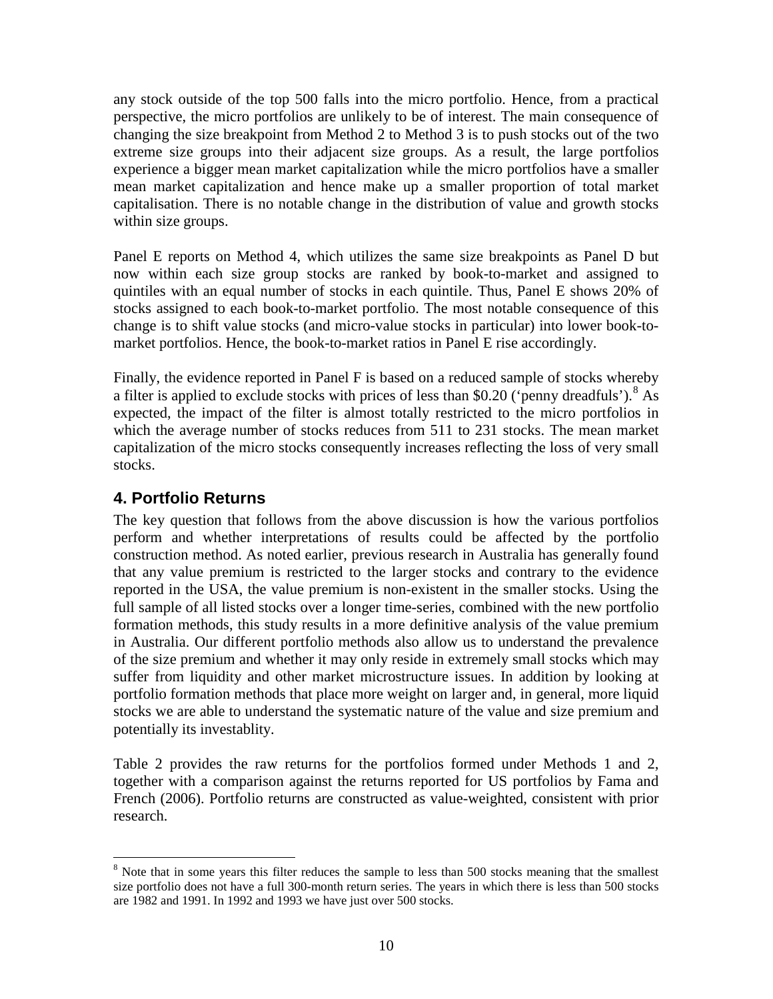any stock outside of the top 500 falls into the micro portfolio. Hence, from a practical perspective, the micro portfolios are unlikely to be of interest. The main consequence of changing the size breakpoint from Method 2 to Method 3 is to push stocks out of the two extreme size groups into their adjacent size groups. As a result, the large portfolios experience a bigger mean market capitalization while the micro portfolios have a smaller mean market capitalization and hence make up a smaller proportion of total market capitalisation. There is no notable change in the distribution of value and growth stocks within size groups.

Panel E reports on Method 4, which utilizes the same size breakpoints as Panel D but now within each size group stocks are ranked by book-to-market and assigned to quintiles with an equal number of stocks in each quintile. Thus, Panel E shows 20% of stocks assigned to each book-to-market portfolio. The most notable consequence of this change is to shift value stocks (and micro-value stocks in particular) into lower book-tomarket portfolios. Hence, the book-to-market ratios in Panel E rise accordingly.

Finally, the evidence reported in Panel F is based on a reduced sample of stocks whereby a filter is applied to exclude stocks with prices of less than \$0.20 ('penny dreadfuls').<sup>[8](#page-10-0)</sup> As expected, the impact of the filter is almost totally restricted to the micro portfolios in which the average number of stocks reduces from 511 to 231 stocks. The mean market capitalization of the micro stocks consequently increases reflecting the loss of very small stocks.

## **4. Portfolio Returns**

The key question that follows from the above discussion is how the various portfolios perform and whether interpretations of results could be affected by the portfolio construction method. As noted earlier, previous research in Australia has generally found that any value premium is restricted to the larger stocks and contrary to the evidence reported in the USA, the value premium is non-existent in the smaller stocks. Using the full sample of all listed stocks over a longer time-series, combined with the new portfolio formation methods, this study results in a more definitive analysis of the value premium in Australia. Our different portfolio methods also allow us to understand the prevalence of the size premium and whether it may only reside in extremely small stocks which may suffer from liquidity and other market microstructure issues. In addition by looking at portfolio formation methods that place more weight on larger and, in general, more liquid stocks we are able to understand the systematic nature of the value and size premium and potentially its investablity.

Table 2 provides the raw returns for the portfolios formed under Methods 1 and 2, together with a comparison against the returns reported for US portfolios by Fama and French (2006). Portfolio returns are constructed as value-weighted, consistent with prior research.

<span id="page-11-0"></span> $8$  Note that in some years this filter reduces the sample to less than 500 stocks meaning that the smallest size portfolio does not have a full 300-month return series. The years in which there is less than 500 stocks are 1982 and 1991. In 1992 and 1993 we have just over 500 stocks.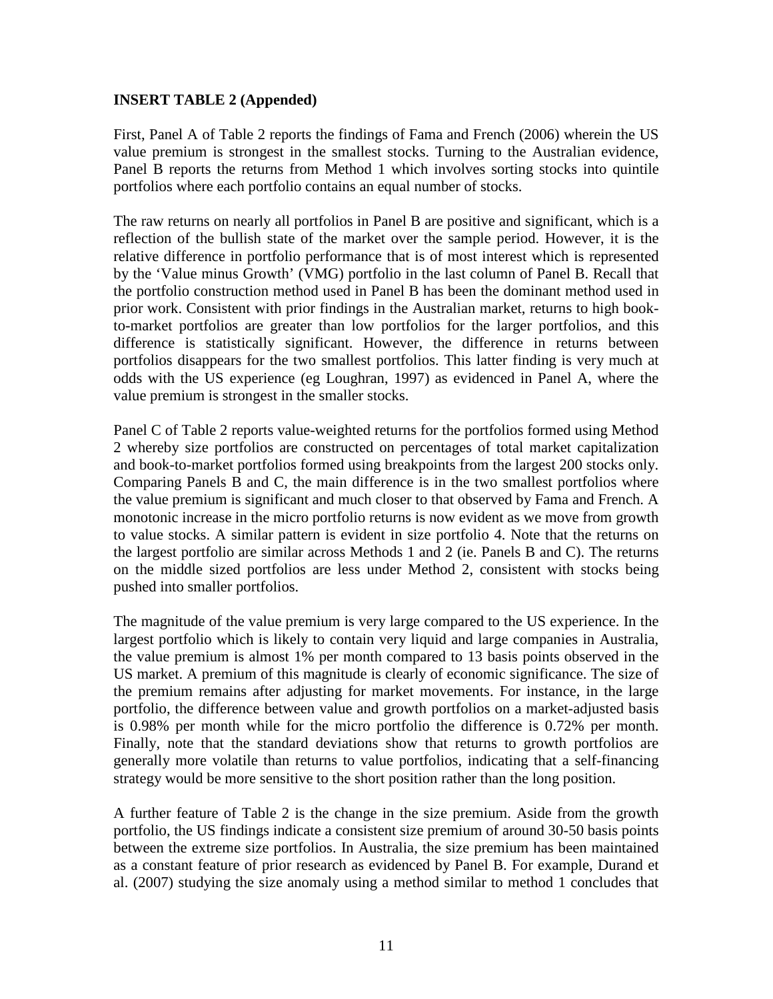## **INSERT TABLE 2 (Appended)**

First, Panel A of Table 2 reports the findings of Fama and French (2006) wherein the US value premium is strongest in the smallest stocks. Turning to the Australian evidence, Panel B reports the returns from Method 1 which involves sorting stocks into quintile portfolios where each portfolio contains an equal number of stocks.

The raw returns on nearly all portfolios in Panel B are positive and significant, which is a reflection of the bullish state of the market over the sample period. However, it is the relative difference in portfolio performance that is of most interest which is represented by the 'Value minus Growth' (VMG) portfolio in the last column of Panel B. Recall that the portfolio construction method used in Panel B has been the dominant method used in prior work. Consistent with prior findings in the Australian market, returns to high bookto-market portfolios are greater than low portfolios for the larger portfolios, and this difference is statistically significant. However, the difference in returns between portfolios disappears for the two smallest portfolios. This latter finding is very much at odds with the US experience (eg Loughran, 1997) as evidenced in Panel A, where the value premium is strongest in the smaller stocks.

Panel C of Table 2 reports value-weighted returns for the portfolios formed using Method 2 whereby size portfolios are constructed on percentages of total market capitalization and book-to-market portfolios formed using breakpoints from the largest 200 stocks only. Comparing Panels B and C, the main difference is in the two smallest portfolios where the value premium is significant and much closer to that observed by Fama and French. A monotonic increase in the micro portfolio returns is now evident as we move from growth to value stocks. A similar pattern is evident in size portfolio 4. Note that the returns on the largest portfolio are similar across Methods 1 and 2 (ie. Panels B and C). The returns on the middle sized portfolios are less under Method 2, consistent with stocks being pushed into smaller portfolios.

The magnitude of the value premium is very large compared to the US experience. In the largest portfolio which is likely to contain very liquid and large companies in Australia, the value premium is almost 1% per month compared to 13 basis points observed in the US market. A premium of this magnitude is clearly of economic significance. The size of the premium remains after adjusting for market movements. For instance, in the large portfolio, the difference between value and growth portfolios on a market-adjusted basis is 0.98% per month while for the micro portfolio the difference is 0.72% per month. Finally, note that the standard deviations show that returns to growth portfolios are generally more volatile than returns to value portfolios, indicating that a self-financing strategy would be more sensitive to the short position rather than the long position.

A further feature of Table 2 is the change in the size premium. Aside from the growth portfolio, the US findings indicate a consistent size premium of around 30-50 basis points between the extreme size portfolios. In Australia, the size premium has been maintained as a constant feature of prior research as evidenced by Panel B. For example, Durand et al. (2007) studying the size anomaly using a method similar to method 1 concludes that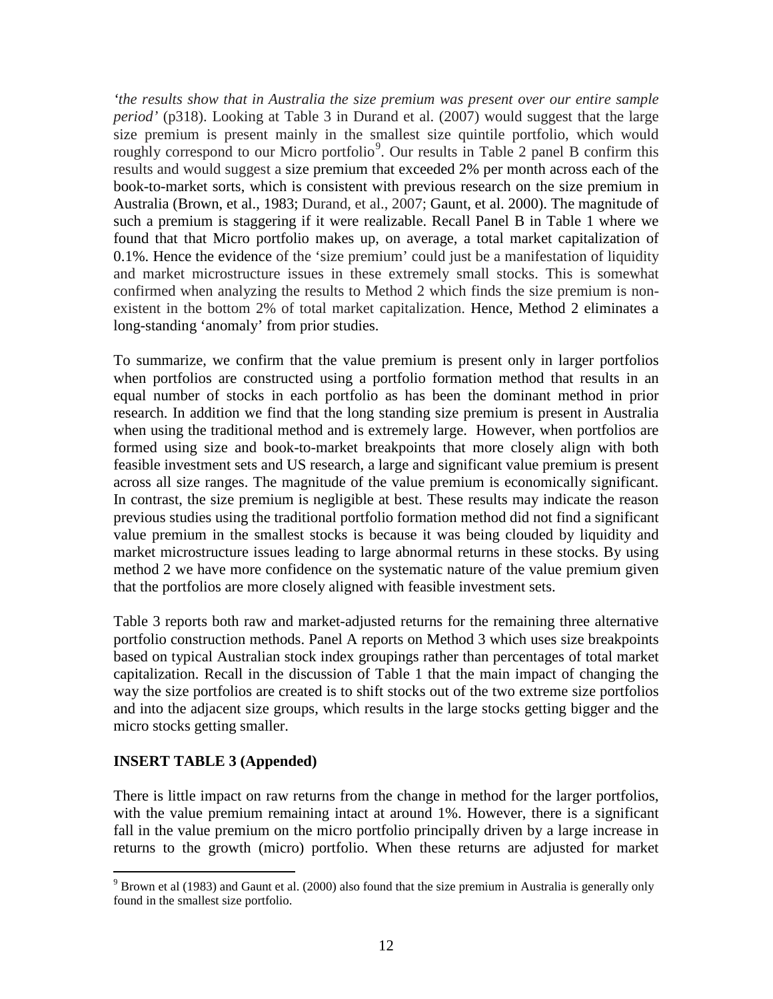*'the results show that in Australia the size premium was present over our entire sample period'* (p318). Looking at Table 3 in Durand et al. (2007) would suggest that the large size premium is present mainly in the smallest size quintile portfolio, which would roughly correspond to our Micro portfolio<sup>[9](#page-11-0)</sup>. Our results in Table 2 panel B confirm this results and would suggest a size premium that exceeded 2% per month across each of the book-to-market sorts, which is consistent with previous research on the size premium in Australia (Brown, et al., 1983; Durand, et al., 2007; Gaunt, et al. 2000). The magnitude of such a premium is staggering if it were realizable. Recall Panel B in Table 1 where we found that that Micro portfolio makes up, on average, a total market capitalization of 0.1%. Hence the evidence of the 'size premium' could just be a manifestation of liquidity and market microstructure issues in these extremely small stocks. This is somewhat confirmed when analyzing the results to Method 2 which finds the size premium is nonexistent in the bottom 2% of total market capitalization. Hence, Method 2 eliminates a long-standing 'anomaly' from prior studies.

To summarize, we confirm that the value premium is present only in larger portfolios when portfolios are constructed using a portfolio formation method that results in an equal number of stocks in each portfolio as has been the dominant method in prior research. In addition we find that the long standing size premium is present in Australia when using the traditional method and is extremely large. However, when portfolios are formed using size and book-to-market breakpoints that more closely align with both feasible investment sets and US research, a large and significant value premium is present across all size ranges. The magnitude of the value premium is economically significant. In contrast, the size premium is negligible at best. These results may indicate the reason previous studies using the traditional portfolio formation method did not find a significant value premium in the smallest stocks is because it was being clouded by liquidity and market microstructure issues leading to large abnormal returns in these stocks. By using method 2 we have more confidence on the systematic nature of the value premium given that the portfolios are more closely aligned with feasible investment sets.

Table 3 reports both raw and market-adjusted returns for the remaining three alternative portfolio construction methods. Panel A reports on Method 3 which uses size breakpoints based on typical Australian stock index groupings rather than percentages of total market capitalization. Recall in the discussion of Table 1 that the main impact of changing the way the size portfolios are created is to shift stocks out of the two extreme size portfolios and into the adjacent size groups, which results in the large stocks getting bigger and the micro stocks getting smaller.

## **INSERT TABLE 3 (Appended)**

There is little impact on raw returns from the change in method for the larger portfolios, with the value premium remaining intact at around 1%. However, there is a significant fall in the value premium on the micro portfolio principally driven by a large increase in returns to the growth (micro) portfolio. When these returns are adjusted for market

<span id="page-13-0"></span><sup>&</sup>lt;sup>9</sup> Brown et al (1983) and Gaunt et al. (2000) also found that the size premium in Australia is generally only found in the smallest size portfolio.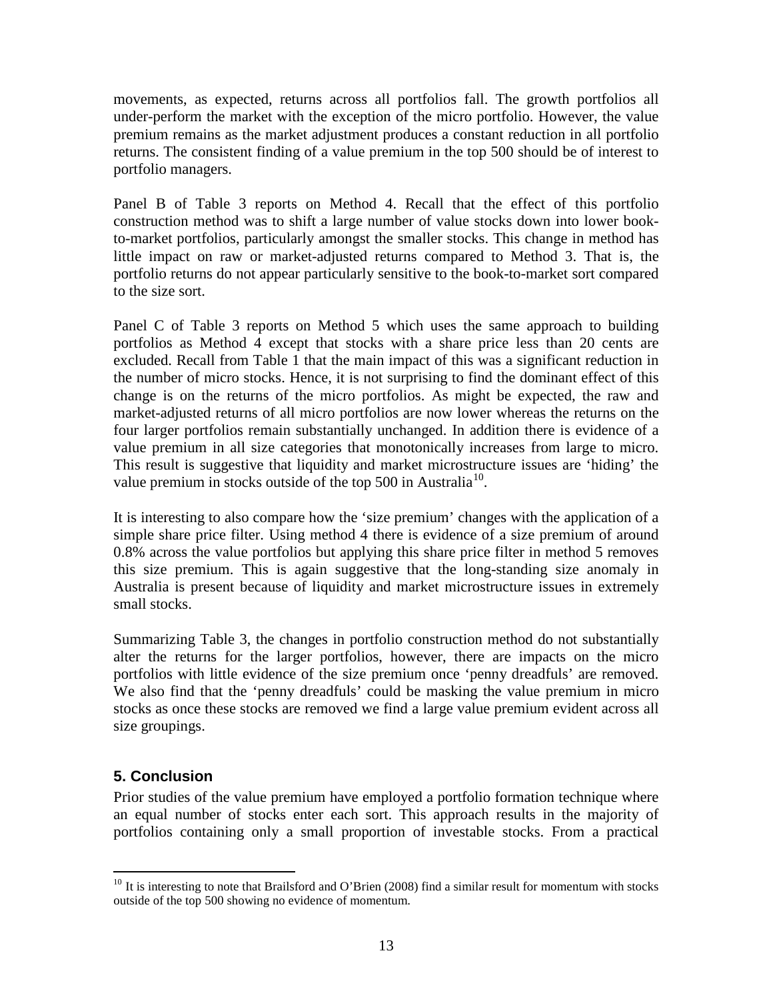movements, as expected, returns across all portfolios fall. The growth portfolios all under-perform the market with the exception of the micro portfolio. However, the value premium remains as the market adjustment produces a constant reduction in all portfolio returns. The consistent finding of a value premium in the top 500 should be of interest to portfolio managers.

Panel B of Table 3 reports on Method 4. Recall that the effect of this portfolio construction method was to shift a large number of value stocks down into lower bookto-market portfolios, particularly amongst the smaller stocks. This change in method has little impact on raw or market-adjusted returns compared to Method 3. That is, the portfolio returns do not appear particularly sensitive to the book-to-market sort compared to the size sort.

Panel C of Table 3 reports on Method 5 which uses the same approach to building portfolios as Method 4 except that stocks with a share price less than 20 cents are excluded. Recall from Table 1 that the main impact of this was a significant reduction in the number of micro stocks. Hence, it is not surprising to find the dominant effect of this change is on the returns of the micro portfolios. As might be expected, the raw and market-adjusted returns of all micro portfolios are now lower whereas the returns on the four larger portfolios remain substantially unchanged. In addition there is evidence of a value premium in all size categories that monotonically increases from large to micro. This result is suggestive that liquidity and market microstructure issues are 'hiding' the value premium in stocks outside of the top 500 in Australia<sup>[10](#page-13-0)</sup>.

It is interesting to also compare how the 'size premium' changes with the application of a simple share price filter. Using method 4 there is evidence of a size premium of around 0.8% across the value portfolios but applying this share price filter in method 5 removes this size premium. This is again suggestive that the long-standing size anomaly in Australia is present because of liquidity and market microstructure issues in extremely small stocks.

Summarizing Table 3, the changes in portfolio construction method do not substantially alter the returns for the larger portfolios, however, there are impacts on the micro portfolios with little evidence of the size premium once 'penny dreadfuls' are removed. We also find that the 'penny dreadfuls' could be masking the value premium in micro stocks as once these stocks are removed we find a large value premium evident across all size groupings.

## **5. Conclusion**

Prior studies of the value premium have employed a portfolio formation technique where an equal number of stocks enter each sort. This approach results in the majority of portfolios containing only a small proportion of investable stocks. From a practical

<sup>&</sup>lt;sup>10</sup> It is interesting to note that Brailsford and O'Brien (2008) find a similar result for momentum with stocks outside of the top 500 showing no evidence of momentum.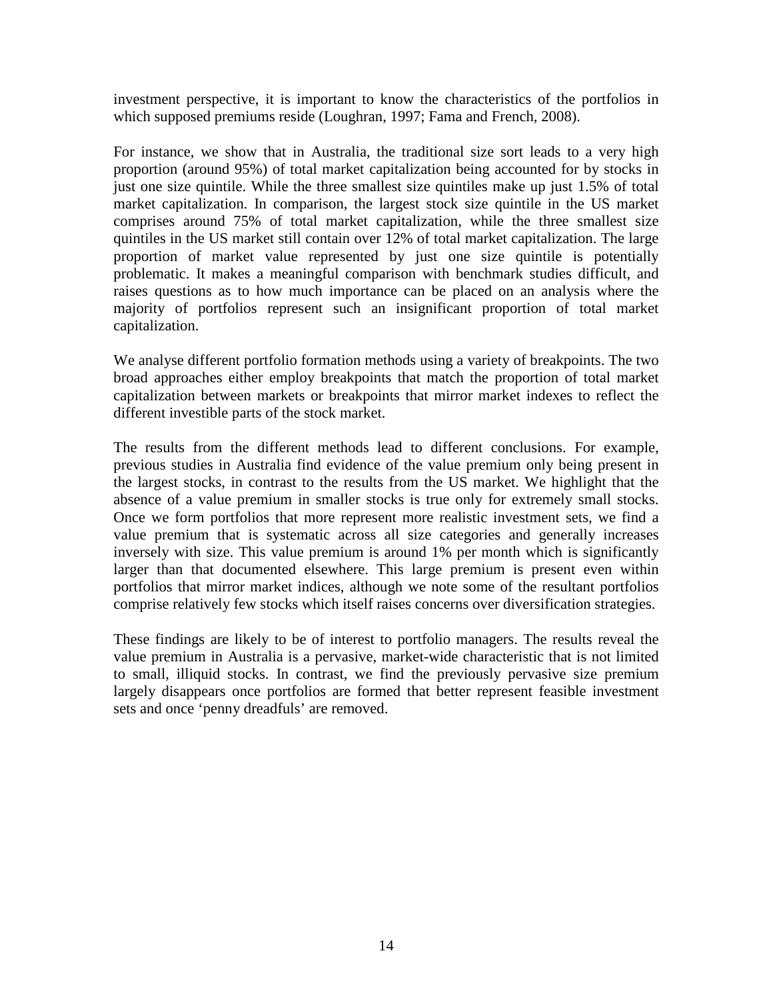investment perspective, it is important to know the characteristics of the portfolios in which supposed premiums reside (Loughran, 1997; Fama and French, 2008).

For instance, we show that in Australia, the traditional size sort leads to a very high proportion (around 95%) of total market capitalization being accounted for by stocks in just one size quintile. While the three smallest size quintiles make up just 1.5% of total market capitalization. In comparison, the largest stock size quintile in the US market comprises around 75% of total market capitalization, while the three smallest size quintiles in the US market still contain over 12% of total market capitalization. The large proportion of market value represented by just one size quintile is potentially problematic. It makes a meaningful comparison with benchmark studies difficult, and raises questions as to how much importance can be placed on an analysis where the majority of portfolios represent such an insignificant proportion of total market capitalization.

We analyse different portfolio formation methods using a variety of breakpoints. The two broad approaches either employ breakpoints that match the proportion of total market capitalization between markets or breakpoints that mirror market indexes to reflect the different investible parts of the stock market.

The results from the different methods lead to different conclusions. For example, previous studies in Australia find evidence of the value premium only being present in the largest stocks, in contrast to the results from the US market. We highlight that the absence of a value premium in smaller stocks is true only for extremely small stocks. Once we form portfolios that more represent more realistic investment sets, we find a value premium that is systematic across all size categories and generally increases inversely with size. This value premium is around 1% per month which is significantly larger than that documented elsewhere. This large premium is present even within portfolios that mirror market indices, although we note some of the resultant portfolios comprise relatively few stocks which itself raises concerns over diversification strategies.

These findings are likely to be of interest to portfolio managers. The results reveal the value premium in Australia is a pervasive, market-wide characteristic that is not limited to small, illiquid stocks. In contrast, we find the previously pervasive size premium largely disappears once portfolios are formed that better represent feasible investment sets and once 'penny dreadfuls' are removed.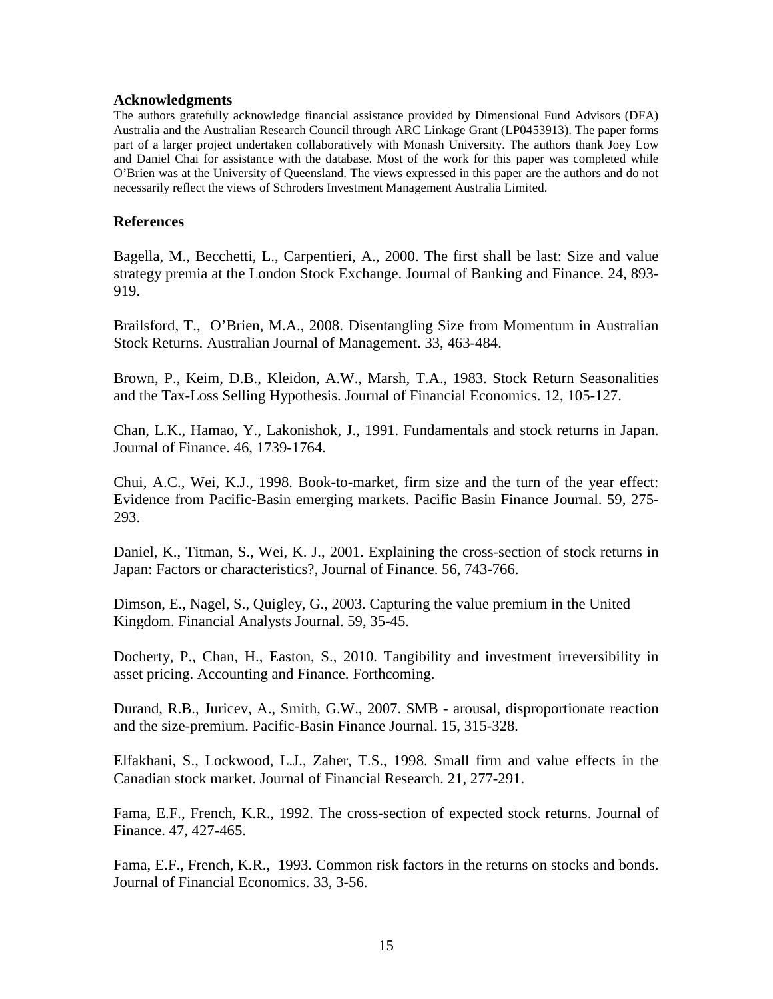## **Acknowledgments**

The authors gratefully acknowledge financial assistance provided by Dimensional Fund Advisors (DFA) Australia and the Australian Research Council through ARC Linkage Grant (LP0453913). The paper forms part of a larger project undertaken collaboratively with Monash University. The authors thank Joey Low and Daniel Chai for assistance with the database. Most of the work for this paper was completed while O'Brien was at the University of Queensland. The views expressed in this paper are the authors and do not necessarily reflect the views of Schroders Investment Management Australia Limited.

## **References**

Bagella, M., Becchetti, L., Carpentieri, A., 2000. The first shall be last: Size and value strategy premia at the London Stock Exchange. Journal of Banking and Finance. 24, 893- 919.

Brailsford, T., O'Brien, M.A., 2008. Disentangling Size from Momentum in Australian Stock Returns. Australian Journal of Management. 33, 463-484.

Brown, P., Keim, D.B., Kleidon, A.W., Marsh, T.A., 1983. Stock Return Seasonalities and the Tax-Loss Selling Hypothesis. Journal of Financial Economics. 12, 105-127.

Chan, L.K., Hamao, Y., Lakonishok, J., 1991. Fundamentals and stock returns in Japan. Journal of Finance. 46, 1739-1764.

Chui, A.C., Wei, K.J., 1998. Book-to-market, firm size and the turn of the year effect: Evidence from Pacific-Basin emerging markets. Pacific Basin Finance Journal. 59, 275- 293.

Daniel, K., Titman, S., Wei, K. J., 2001. Explaining the cross-section of stock returns in Japan: Factors or characteristics?, Journal of Finance. 56, 743-766.

Dimson, E., Nagel, S., Quigley, G., 2003. Capturing the value premium in the United Kingdom. Financial Analysts Journal. 59, 35-45.

Docherty, P., Chan, H., Easton, S., 2010. Tangibility and investment irreversibility in asset pricing. Accounting and Finance. Forthcoming.

Durand, R.B., Juricev, A., Smith, G.W., 2007. SMB - arousal, disproportionate reaction and the size-premium. Pacific-Basin Finance Journal. 15, 315-328.

Elfakhani, S., Lockwood, L.J., Zaher, T.S., 1998. Small firm and value effects in the Canadian stock market. Journal of Financial Research. 21, 277-291.

Fama, E.F., French, K.R., 1992. The cross-section of expected stock returns. Journal of Finance. 47, 427-465.

Fama, E.F., French, K.R., 1993. Common risk factors in the returns on stocks and bonds. Journal of Financial Economics. 33, 3-56.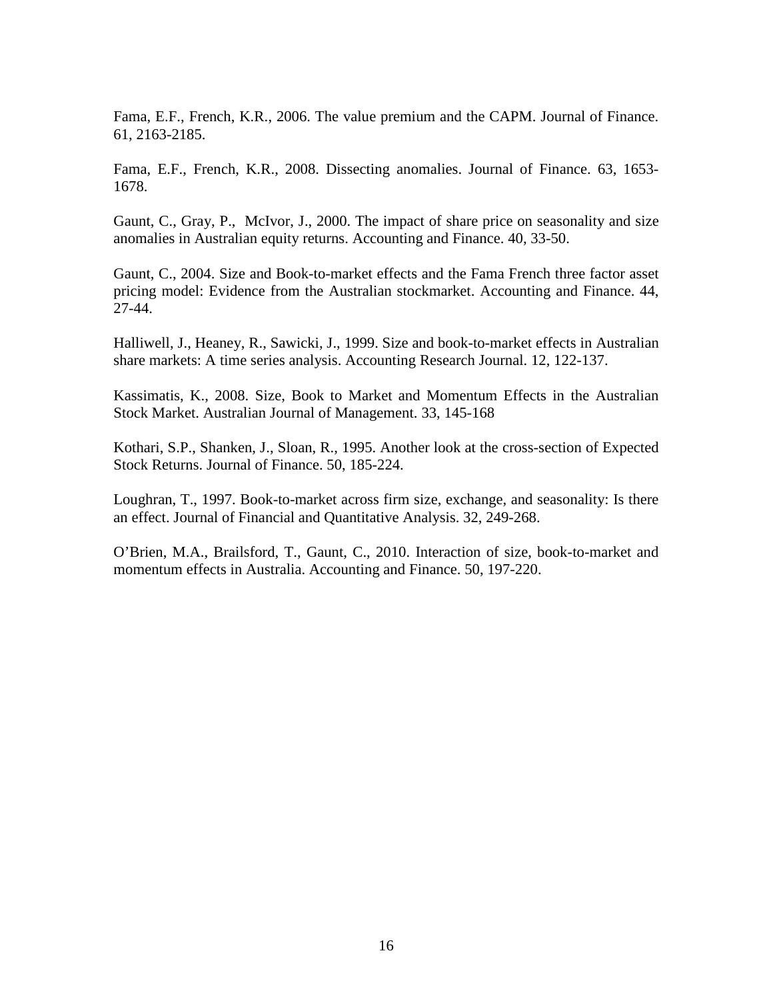Fama, E.F., French, K.R., 2006. The value premium and the CAPM. Journal of Finance. 61, 2163-2185.

Fama, E.F., French, K.R., 2008. Dissecting anomalies. Journal of Finance. 63, 1653- 1678.

Gaunt, C., Gray, P., McIvor, J., 2000. The impact of share price on seasonality and size anomalies in Australian equity returns. Accounting and Finance. 40, 33-50.

Gaunt, C., 2004. Size and Book-to-market effects and the Fama French three factor asset pricing model: Evidence from the Australian stockmarket. Accounting and Finance. 44, 27-44.

Halliwell, J., Heaney, R., Sawicki, J., 1999. Size and book-to-market effects in Australian share markets: A time series analysis. Accounting Research Journal. 12, 122-137.

Kassimatis, K., 2008. Size, Book to Market and Momentum Effects in the Australian Stock Market. Australian Journal of Management. 33, 145-168

Kothari, S.P., Shanken, J., Sloan, R., 1995. Another look at the cross-section of Expected Stock Returns. Journal of Finance. 50, 185-224.

Loughran, T., 1997. Book-to-market across firm size, exchange, and seasonality: Is there an effect. Journal of Financial and Quantitative Analysis. 32, 249-268.

O'Brien, M.A., Brailsford, T., Gaunt, C., 2010. Interaction of size, book-to-market and momentum effects in Australia. Accounting and Finance. 50, 197-220.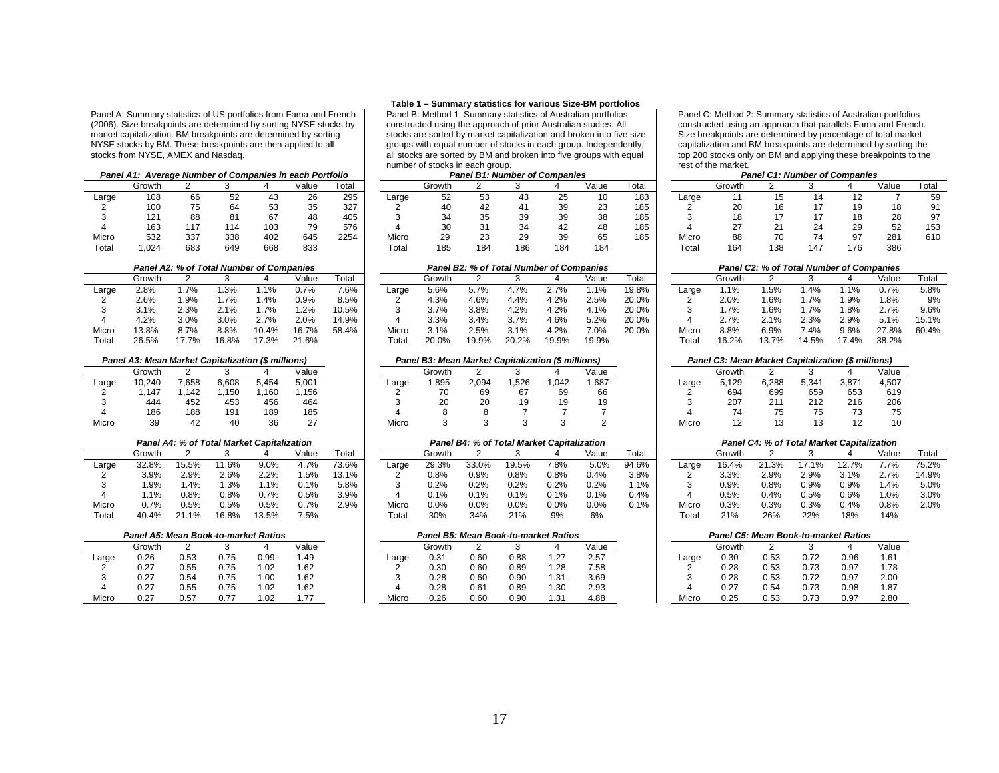Panel A: Summary statistics of US portfolios from Fama and French (2006). Size breakpoints are determined by sorting NYSE stocks by market capitalization. BM breakpoints are determined by sorting NYSE stocks by BM. These breakpoints are then applied to all stocks from NYSE, AMEX and Nasdaq.

|                   | Panel A1: Average Number of Companies in each Portfolio |     |      |     |       |       |
|-------------------|---------------------------------------------------------|-----|------|-----|-------|-------|
|                   | Growth                                                  |     |      |     | Value | Total |
| Large             | 108                                                     | 66  | 52   | 43  | 26    | 295   |
| 2                 | 100                                                     | 75  | 64   | 53  | 35    | 327   |
| 3                 | 121                                                     | 88  | 81   | 67  | 48    | 405   |
| 4                 | 163                                                     | 117 | 114  | 103 | 79    | 576   |
| Micro             | 532                                                     | 337 | 338  | 402 | 645   | 2254  |
| T <sub>ofol</sub> | 1.021                                                   | coo | 0.10 | CCO | ooo   |       |

# **Panel A2: % of Total Number of Companies**<br> **Panel B2: % of Total Number of Companies**<br> **Panel B2: % of Total Number of Companies**<br> **Panel B2: % of Total Number of Companies**

|       | Panel A3: Mean Market Capitalization (\$ millions) |       |       |       |       |
|-------|----------------------------------------------------|-------|-------|-------|-------|
|       | Growth                                             |       | 3     |       | Value |
| Large | 10.240                                             | 7.658 | 6.608 | 5.454 | 5,001 |
| 2     | 1.147                                              | 1.142 | 1.150 | 1.160 | 1,156 |
| 3     | 444                                                | 452   | 453   | 456   | 464   |
| 4     | 186                                                | 188   | 191   | 189   | 185   |
| Micro | 39                                                 | 42    | 40    | 36    | 27    |

|       |        |       |       | Panel A4: % of Total Market Capitalization |       |       |
|-------|--------|-------|-------|--------------------------------------------|-------|-------|
|       | Growth |       | 3     | 4                                          | Value | Total |
| Large | 32.8%  | 15.5% | 11.6% | $9.0\%$                                    | 4.7%  | 73.6% |
| 2     | 3.9%   | 2.9%  | 2.6%  | 2.2%                                       | 1.5%  | 13.1% |
| 3     | 1.9%   | 1.4%  | 1.3%  | 1.1%                                       | 0.1%  | 5.8%  |
| 4     | 1.1%   | 0.8%  | 0.8%  | 0.7%                                       | 0.5%  | 3.9%  |
| Micro | 0.7%   | 0.5%  | 0.5%  | 0.5%                                       | 0.7%  | 2.9%  |
| Total | 40.4%  | 21 1% | 16.8% | 13.5%                                      | 7.5%  |       |

|       | Panel A5: Mean Book-to-market Ratios |      |      |      |       |
|-------|--------------------------------------|------|------|------|-------|
|       | Growth                               |      |      |      | Value |
| Large | 0.26                                 | 0.53 | 0.75 | 0.99 | 1.49  |
| 2     | 0.27                                 | 0.55 | 0.75 | 1.02 | 1.62  |
| 3     | 0.27                                 | 0.54 | 0.75 | 1.00 | 1.62  |
| 4     | 0.27                                 | 0.55 | 0.75 | 1.02 | 1.62  |
| Micro | 0.27                                 | 0.57 | 0.77 | 1.02 | 1.77  |

## **Table 1 – Summary statistics for various Size-BM portfolios**

Panel B: Method 1: Summary statistics of Australian portfolios constructed using the approach of prior Australian studies. All stocks are sorted by market capitalization and broken into five size groups with equal number of stocks in each group. Independently, all stocks are sorted by BM and broken into five groups with equal number of stocks in each group.

|       | Panel A1: Average Number of Companies in each Portfolio |     |     |     |       |       |       |        |     | <b>Panel B1: Number of Companies</b> |     |       |       |       |        | <b>Panel C1: Number of Companies</b> |     |       |
|-------|---------------------------------------------------------|-----|-----|-----|-------|-------|-------|--------|-----|--------------------------------------|-----|-------|-------|-------|--------|--------------------------------------|-----|-------|
|       | Growth                                                  |     |     |     | Value | Total |       | Growth |     |                                      |     | √alue | Total |       | Growth |                                      |     | Value |
| Large | 108                                                     |     |     | 40  | 26    | 295   | Large | 52     |     |                                      |     |       | 183   | Large |        |                                      |     |       |
|       | 100                                                     |     | 64  |     | 35    | 327   |       | 40     |     |                                      |     |       | 185   |       |        |                                      |     | 18    |
|       | 121                                                     |     |     | 67  | 48    | 405   |       |        |     |                                      | 39  |       | 185   |       |        |                                      |     | 28    |
|       | 163                                                     |     | 114 | 103 | 79    | 576   |       |        |     |                                      |     |       | 185   |       |        |                                      | 29  | 52    |
| Micro | 532                                                     | 337 | 338 | 402 | 645   | 2254  | Micro | 29     | ںے  |                                      |     |       | 185   | Micro | 88     |                                      | 97  | 281   |
| Tota  | .024                                                    | 683 | 649 | 668 | 833   |       | Гоtа  | 185    | 184 | 186                                  | 184 | 184   |       | Tota  | 164    | 147                                  | 176 | 386   |

|       | Growth |        |        |       | Value | Total |       | Growth |       |         |       | Value | Total |       | Growth  |       |        |         | Value | Total |
|-------|--------|--------|--------|-------|-------|-------|-------|--------|-------|---------|-------|-------|-------|-------|---------|-------|--------|---------|-------|-------|
| Large | 2.8%   | .7%    | .3%    |       | 0.7%  | 7.6%  | Large | 5.6%   | 5.7%  | 7%،     | 2.7%  | 1.1%  | 19.8% | Large | $1.1\%$ | .5%   | .4%    | $.1\%$  | 0.7%  | 5.8%  |
|       | 2.6%   | .9%    | $.7\%$ | .4%   | 0.9%  | 8.5%  |       | 4.3%   | 4.6%  | l.4%    | 4.2%  | 2.5%  | 20.0% |       | 2.0%    | .6%   | $.7\%$ | .9%     | 1.8%  | 9%    |
|       | 3.1%   | 2.3%   | 2.1%   |       | 1.2%  | 10.5% |       | 3.7%   | 3.8%  | 4.2%    | 4.2%  | 4.1%  | 20.0% |       | .7%     | .6%   | .7%    | .8%     | 2.7%  | 9.6%  |
|       | 4.2%   | 3.0%   | 3.0%   | 27%   | 2.0%  | 14.9% |       | 3.3%   | 3.4%  | $3.7\%$ | 4.6%  | 5.2%  | 20.0% |       | 2.7%    | 2.1%  | 2.3%   | 2.9%    | 5.1%  | 15.1% |
| Micro | 13.8%  | 8.7%   | 8.8%   | 10.4% | 16.7% | 58.4% | Micro | 3.1%   | 2.5%  | $3.1\%$ | 4.2%  | 7.0%  | 20.0% | Micro | 8.8%    | 6.9%  | $.4\%$ | $9.6\%$ | 27.8% | 60.4% |
| Total | 26.5%  | ' 7 7% | 16.8%  | 17.3% | 21.6% |       | Totai | 20.0%  | 19.9% | 20.2%   | 19.9% | 19.9% |       | Total | 16.2%   | 13.7% | 14.5%  | 17.4%   | 38.2% |       |

## *Panel A3: Mean Market Capitalization (\$ millions) Panel B3: Mean Market Capitalization (\$ millions) Panel C3: Mean Market Capitalization (\$ millions)*

|       | Growth |       |                 |       | Value |       | Growth                         |       |      |            | Value |       | Growth |                        |       |       | Value |
|-------|--------|-------|-----------------|-------|-------|-------|--------------------------------|-------|------|------------|-------|-------|--------|------------------------|-------|-------|-------|
| Large | 10,240 | 7,658 | 6,608           | 5.454 | 5,001 | ∟arge | .895                           | 2,094 | .526 | 0.042      | 1,687 | _arge | 5.129  | 6,288                  | 5,341 | 3,871 | 4,507 |
|       | .147   | 142   | ,150            | .160  | .156  |       | $\overline{\phantom{a}}$<br>٢U | 69    |      | 69         |       |       | 694    | 699                    | 659   | 653   | 619   |
|       | 444    | 452   | 453             | 456   | 464   |       | $\sim$<br>۷J                   | 20    |      | 1 Q<br>. ט |       |       | 207    | $\Omega$<br><u> 21</u> | 212   | 216   | 206   |
|       | 186    | 188   | 19 <sup>1</sup> | 189   | 185   |       |                                |       |      |            |       |       |        |                        |       |       | 75    |
| Micro | 39     |       |                 | 36    | ົ     | Micro |                                |       |      |            |       | Micro |        |                        |       |       | 10    |

|       |        |       |         | <b>Panel A4: % of Total Market Capitalization</b> |       |       |       |        | <b>Panel B4: % of Total Market Capitalization</b> |         |      |         |              |       |        | <b>Panel C4: % of Total Market Capitalization</b> |         |      |       |       |
|-------|--------|-------|---------|---------------------------------------------------|-------|-------|-------|--------|---------------------------------------------------|---------|------|---------|--------------|-------|--------|---------------------------------------------------|---------|------|-------|-------|
|       | Growth |       |         |                                                   | √alue | Total |       | Growth |                                                   |         |      | Value   | <b>Total</b> |       | Growth |                                                   |         |      | Value | Total |
| Large | 32.8%  | 15.5% | 1.6%    | $9.0\%$                                           | 4.7%  | 73.6% | Large | 29.3%  | 33.0%                                             | 19.5%   | '.8% | 5.0%    | 94.6%        | Large | 16.4%  | 21.3%                                             | 7.1%    |      | ' 7%  | 75.2% |
|       | 3.9%   | 2.9%  | 2.6%    | 2.2%                                              | .5%   | 13.1% |       | 0.8%   | 0.9%                                              | 0.8%    | 0.8% | 0.4%    | 3.8%         |       | 3.3%   | 2.9%                                              | 2.9%    | 3.1% | 2.7%  | 14.9% |
|       | . .9%  | .4%   | .3%     | 10 <sub>6</sub>                                   | 0.1%  | 5.8%  |       | 0.2%   | 0.2%                                              | $2.2\%$ | 0.2% | 0.2%    | 1%،          |       | 0.9%   | 0.8%                                              | $0.9\%$ | 0.9% | .4%   | 5.0%  |
|       | .1%،   | 0.8%  | $0.8\%$ | 0.7%                                              | 0.5%  | 3.9%  |       | 0.1%   | 0.1%                                              | $0.1\%$ | 0.1% | $0.1\%$ | 0.4%         |       | 0.5%   | 0.4%                                              | $0.5\%$ | 0.6% | 1.0%  | 3.0%  |
| Micro | 0.7%   | 0.5%  | 0.5%    | 0.5%                                              | 0.7%  | 2.9%  | Micro | 0.0%   | $0.0\%$                                           | $0.0\%$ | 0.0% | 0.0%    | 0.1%         | Micro | 0.3%   | 0.3%                                              | $0.3\%$ | 0.4% | 0.8%  | 2.0%  |
| Tota  | 40.4%  | $1\%$ | 16.8%   | 13.5%                                             | 7.5%  |       | Totai | 30%    | 34%                                               | 21%     | 9%   | 6%      |              | Гоtа  | 21%    | 26%                                               | 22%     | 18%  | 14%   |       |

## *Panel A5: Mean Book-to-market Ratios Panel B5: Mean Book-to-market Ratios Panel C5: Mean Book-to-market Ratios*

|       | Growth |      |      |       | Value |       | Growth |      |      |                  | Value |       | Growth |      |      |      | Value |
|-------|--------|------|------|-------|-------|-------|--------|------|------|------------------|-------|-------|--------|------|------|------|-------|
| Large | 0.26   | 0.53 | 0.75 | 0.99  | 1.49  | Large | 0.31   | 0.60 | 0.88 | 1.27             | 2.57  | Large | 0.30   | 0.53 | 0.72 | 0.96 | 1.61  |
|       | 0.27   | 0.55 | 0.75 | 1.02  | 1.62  |       | 0.30   | 0.60 | 0.89 | i.28             | 7.58  |       | 0.28   | 0.53 | 0.73 | 0.97 | 78،،  |
|       | 0.27   | 0.54 | 0.75 | 00. ا | 1.62  |       | 0.28   | 0.60 | 0.90 | 1.31             | 3.69  |       | 0.28   | 0.53 | 0.72 | 0.97 | 2.00  |
|       | 0.27   | 0.55 | 0.75 | .02   | 1.62  |       | 0.28   | 0.61 | 0.89 | 1.30             | 2.93  |       | 0.27   | 0.54 | 0.73 | 0.98 | 1.87  |
| Micro | 0.27   | 0.57 | 0.77 | 1.02  | 1.77  | Micro | 0.26   | 0.6C | 0.90 | 1.3 <sup>1</sup> | 4.88  | Micro | 0.25   | 0.53 | 0.73 | 0.97 | 2.80  |

Panel C: Method 2: Summary statistics of Australian portfolios constructed using an approach that parallels Fama and French. Size breakpoints are determined by percentage of total market capitalization and BM breakpoints are determined by sorting the top 200 stocks only on BM and applying these breakpoints to the rest of the market.

## *Panel C1: Number of Companies*

|                   | Growth |     |     |     | Value | Total |       | Growth   |     |     |     | Value | Total |       | Growth |     |     | Value | Total |
|-------------------|--------|-----|-----|-----|-------|-------|-------|----------|-----|-----|-----|-------|-------|-------|--------|-----|-----|-------|-------|
| Large             | 108    | 66  | 52  | 40. | 26    | 295   | Large | 52       |     | 43  | دے  | 10    | 183   | Large |        |     |     |       | 59    |
|                   | 100    | 75  | 64  |     | კე    | 327   |       | 40       | 44  |     |     | دے    | 185   |       | 20     |     |     | 18    | 91    |
|                   | 121    | 88  | 81  |     |       | 405   |       |          | 35  | 39  | 39  | 38    | 185   |       | 18     |     |     | 28    | 97    |
|                   | 163    |     | 14  | 103 | 79    | 576   |       | ঽ∩<br>ບບ |     | 34  |     | 48    | 185   |       | ı      |     | ت   | 52    | 153   |
| Micro             | 532    | 337 | 338 | 402 | 645   | 2254  | Micro | 29       | د∠  | 29  | 39  | 65    | 185   | Micro | 88     |     | 97  | 281   | 610   |
| Tota <sub>i</sub> | .024   | 683 | 649 | 668 | 833   |       | ™otai | 185      | 184 | 186 | 184 | 184   |       | Tota. | 164    | 138 | 17F | 386   |       |

|       |        | Panel C2: % of Total Number of Companies |       |       |       |       |
|-------|--------|------------------------------------------|-------|-------|-------|-------|
|       | Growth |                                          | з     |       | Value | Total |
| Large | 1.1%   | 1.5%                                     | 1.4%  | 1.1%  | 0.7%  | 5.8%  |
| 2     | 2.0%   | 1.6%                                     | 1.7%  | 1.9%  | 1.8%  | 9%    |
| 3     | 1.7%   | 1.6%                                     | 1.7%  | 1.8%  | 2.7%  | 9.6%  |
| 4     | 2.7%   | 2.1%                                     | 2.3%  | 2.9%  | 5.1%  | 15.1% |
| Micro | 8.8%   | 6.9%                                     | 7.4%  | 9.6%  | 27.8% | 60.4% |
| Total | 16.2%  | 137%                                     | 14.5% | 17 4% | 38.2% |       |

|       |        |       |       | <b>Panel C4: % of Total Market Capitalization</b> |       |       |
|-------|--------|-------|-------|---------------------------------------------------|-------|-------|
|       | Growth |       | з     | 4                                                 | Value | Total |
| Large | 16.4%  | 21.3% | 17.1% | 12.7%                                             | 7.7%  | 75.2% |
| 2     | 3.3%   | 2.9%  | 2.9%  | 3.1%                                              | 2.7%  | 14.9% |
| 3     | 0.9%   | 0.8%  | 0.9%  | 0.9%                                              | 1.4%  | 5.0%  |
| 4     | 0.5%   | 0.4%  | 0.5%  | 0.6%                                              | 1.0%  | 3.0%  |
| Micro | 0.3%   | 0.3%  | 0.3%  | 0.4%                                              | 0.8%  | 2.0%  |
| Total | 21%    | 26%   | 22%   | 18%                                               | 14%   |       |

|       | Panel C5: Mean Book-to-market Ratios |      |      |      |       |  |  |  |  |  |  |  |  |  |
|-------|--------------------------------------|------|------|------|-------|--|--|--|--|--|--|--|--|--|
|       | Growth                               |      |      |      | Value |  |  |  |  |  |  |  |  |  |
| Large | 0.30                                 | 0.53 | 0.72 | 0.96 | 1.61  |  |  |  |  |  |  |  |  |  |
| 2     | 0.28                                 | 0.53 | 0.73 | 0.97 | 1.78  |  |  |  |  |  |  |  |  |  |
| 3     | 0.28                                 | 0.53 | 0.72 | 0.97 | 2.00  |  |  |  |  |  |  |  |  |  |
| 4     | በ 27                                 | 0.54 | 0.73 | 0.98 | 1.87  |  |  |  |  |  |  |  |  |  |
| Micro | 0.25                                 | 0.53 | 0.73 | 0.97 | 2.80  |  |  |  |  |  |  |  |  |  |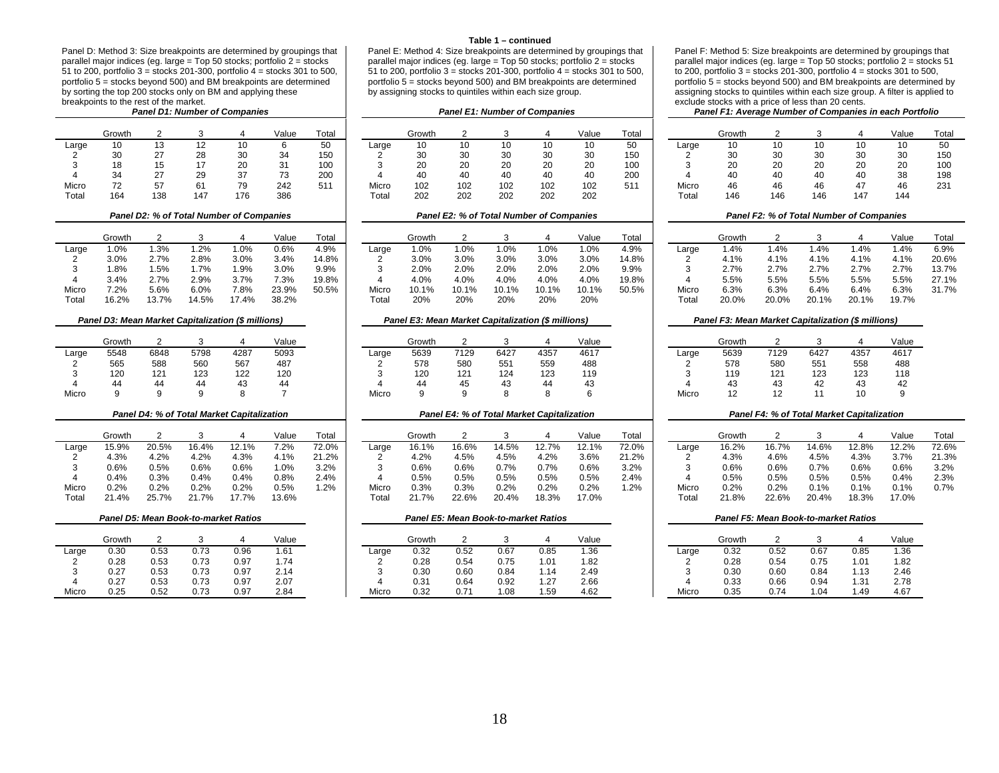Panel D: Method 3: Size breakpoints are determined by groupings that parallel major indices (eg. large = Top 50 stocks; portfolio 2 = stocks 51 to 200, portfolio  $3 =$  stocks 201-300, portfolio  $4 =$  stocks 301 to 500, portfolio  $5 =$  stocks beyond 500) and BM breakpoints are determined by sorting the top 200 stocks only on BM and applying these breakpoints to the rest of the market.<br>**Panel D1: Number of Companies** 

|       | Growth | ◠   | 3   |     | Value | Total |
|-------|--------|-----|-----|-----|-------|-------|
| Large | 10     | 13  | 12  | 10  | 6     | 50    |
| 2     | 30     | 27  | 28  | 30  | 34    | 150   |
| 3     | 18     | 15  | 17  | 20  | 31    | 100   |
| 4     | 34     | 27  | 29  | 37  | 73    | 200   |
| Micro | 72     | 57  | 61  | 79  | 242   | 511   |
| Total | 164    | 138 | 147 | 176 | 386   |       |

|                   | Growth  |       |         |        | Value | Total |       | Growth |       |       |       | Value | <b>Total</b> |       | Growth |       |       |       | Value |
|-------------------|---------|-------|---------|--------|-------|-------|-------|--------|-------|-------|-------|-------|--------------|-------|--------|-------|-------|-------|-------|
| Large             | 0%      | . .3% | 2%. ا   | $.0\%$ | 0.6%  | 4.9%  | Large | .0%    | 1.0%  | .0%   | .0%   | .0%   | 4.9%         | ∟arɑe | 1.4%   | .4%   | .4%   | .4%   | .4%   |
|                   | 3.0%    | 2.7%  | 2.8%    | 3.0%   | 3.4%  | 14.8% |       | 3.0%   | 3.0%  | 3.0%  | 3.0%  | 3.0%  | 14.8%        |       | 4.1%   | 4.1%  | 4.1%  | 4.1%  | 4.1%  |
|                   | .8%     | .5%   | $1.7\%$ | .9%    | 3.0%  | 9.9%  |       | 2.0%   | 2.0%  | 2.0%  | 2.0%  | 2.0%  | 9.9%         |       | 2.7%   | 2.7%  | 2.7%  | 2.7%  | 2.7%  |
|                   | 3.4%    | 2.7%  | 2.9%    | 3.7%   | 7.3%  | 19.8% |       | 4.0%   | 4.0%  | 4.0%  | 4.0%  | 4.0%  | 19.8%        |       | 5.5%   | 5.5%  | 5.5%  | 5.5%  | 5.5%  |
| Micro             | $7.2\%$ | 5.6%  | 6.0%    | 7.8%   | 23.9% | 50.5% | Micro | 10.1%  | 10.1% | 10.1% | 10.1% | 10.1% | 50.5%        | Micro | 6.3%   | 6.3%  | 6.4%  | 6.4%  | 6.3%  |
| Tota <sub>i</sub> | 16.2%   | 13.7% | 14.5%   | 17.4%  | 38.2% |       | Tota. | 20%    | 20%   | 20%   | 20%   | 20%   |              | Tota  | 20.0%  | 20.0% | 20.1% | 20.1% | 19.7% |

|       | Growth | っ    | 3    |      | Value |
|-------|--------|------|------|------|-------|
| Large | 5548   | 6848 | 5798 | 4287 | 5093  |
| 2     | 565    | 588  | 560  | 567  | 487   |
| 3     | 120    | 121  | 123  | 122  | 120   |
| 4     | 44     | 44   | 44   | 43   | 44    |
| Micro | a      | a    | a    | Ω    |       |

| <b>Panel D4: % of Total Market Capitalization</b> |        |            |        |       |        |       |  |  |  |  |  |  |  |  |
|---------------------------------------------------|--------|------------|--------|-------|--------|-------|--|--|--|--|--|--|--|--|
|                                                   | Growth | 2          | 3      | 4     | Value  | Total |  |  |  |  |  |  |  |  |
| Large                                             | 15.9%  | 20.5%      | 16.4%  | 12.1% | 7.2%   | 72.0% |  |  |  |  |  |  |  |  |
| 2                                                 | 4.3%   | 4.2%       | 4.2%   | 4.3%  | 4.1%   | 21.2% |  |  |  |  |  |  |  |  |
| 3                                                 | 0.6%   | 0.5%       | 0.6%   | 0.6%  | 1.0%   | 3.2%  |  |  |  |  |  |  |  |  |
| 4                                                 | 0.4%   | 0.3%       | 0.4%   | 0.4%  | 0.8%   | 2.4%  |  |  |  |  |  |  |  |  |
| Micro                                             | 0.2%   | 0.2%       | 0.2%   | 0.2%  | 0.5%   | 1.2%  |  |  |  |  |  |  |  |  |
| T <sub>ofol</sub>                                 | 21.00  | $25 - 70/$ | 24.70/ | 1770/ | 12.001 |       |  |  |  |  |  |  |  |  |

|       | Panel D5: Mean Book-to-market Ratios |      |      |      |      |  |  |  |  |  |  |  |  |  |  |
|-------|--------------------------------------|------|------|------|------|--|--|--|--|--|--|--|--|--|--|
|       | Value<br>Growth<br>3                 |      |      |      |      |  |  |  |  |  |  |  |  |  |  |
| Large | 0.30                                 | 0.53 | 0.73 | 0.96 | 1.61 |  |  |  |  |  |  |  |  |  |  |
| 2     | 0.28                                 | 0.53 | 0.73 | 0.97 | 1.74 |  |  |  |  |  |  |  |  |  |  |
| 3     | 0.27                                 | 0.53 | 0.73 | 0.97 | 2.14 |  |  |  |  |  |  |  |  |  |  |
| 4     | 2.07<br>0.53<br>0.97<br>0.27<br>0.73 |      |      |      |      |  |  |  |  |  |  |  |  |  |  |
| Micro | O 25                                 | በ 52 | በ 73 | በ 97 | 2.84 |  |  |  |  |  |  |  |  |  |  |

## **Table 1 – continued**

Panel E: Method 4: Size breakpoints are determined by groupings that parallel major indices (eg. large = Top 50 stocks; portfolio 2 = stocks 51 to 200, portfolio  $3 =$  stocks 201-300, portfolio  $4 =$  stocks 301 to 500, portfolio  $5 =$  stocks beyond 500) and BM breakpoints are determined by assigning stocks to quintiles within each size group.

|       | Growth |          |     |           | Value         | Total |       | Growth |     |     |     | Value | Total |       | Growth |     |     |     | Valu |
|-------|--------|----------|-----|-----------|---------------|-------|-------|--------|-----|-----|-----|-------|-------|-------|--------|-----|-----|-----|------|
| Large | 10     |          |     |           |               | 50    | Large | 10     |     |     |     | 10    | 50    | Large | 10     | 10  |     | 1Ο  | 10   |
| ◠     | 30     | 27       | 28  | 30        | 34            | 150   |       |        | 30  |     | 30  | 30    | 150   |       | 30     | 30  | 30  | 30  | 30   |
|       | 18     |          |     | 20        | $\sim$<br>ا ک | 100   |       | 20     | 20  | 20  | 20  | 20    | 100   |       | 20     | 20  | 20  | 20  | 20   |
|       | 34     | 27<br>21 | 29  | 37        | ں ،           | 200   |       | 40     | 40  |     | 40  | 40    | 200   |       | 40     | 40  | 40  | 40  | 38   |
| Micro | 72     | 57       | 61  | 70<br>ت ، | 242           | 511   | Micro | 102    | 102 | 102 | 102 | 102   | 511   | Micro | 46     | 46  | 46  | 47  | 46   |
| Tota. | 164    | 138      | 147 | 176       | 386           |       | Tota. | 202    | 202 | 202 | 202 | 202   |       | Total | 146    | 146 | 146 | 147 | 144  |
|       |        |          |     |           |               |       |       |        |     |     |     |       |       |       |        |     |     |     |      |

|       | Growth  | 2       | з       | 4     | Value | Total |
|-------|---------|---------|---------|-------|-------|-------|
| Large | 1.0%    | 1.0%    | 1.0%    | 1.0%  | 1.0%  | 4.9%  |
| 2     | $3.0\%$ | $3.0\%$ | $3.0\%$ | 3.0%  | 3.0%  | 14.8% |
| 3     | 2.0%    | 2.0%    | 2.0%    | 2.0%  | 2.0%  | 9.9%  |
| 4     | 4.0%    | 4.0%    | 4.0%    | 4.0%  | 4.0%  | 19.8% |
| Micro | 10.1%   | 10.1%   | 10.1%   | 10.1% | 10.1% | 50.5% |
| Total | 20%     | 20%     | 20%     | 20%   | 20%   |       |

|       | Growth                   |      |      |      | Value |
|-------|--------------------------|------|------|------|-------|
| Large | 5548                     | 6848 | 5798 | 4287 | 5093  |
|       | 565                      | 588  | 560  | 567  | 487   |
|       | 120                      | 121  | 123  | 122  | 120   |
|       | $\overline{\phantom{a}}$ |      |      |      |       |
| Micro |                          |      |      |      |       |

|       | Growth |       |       |          | Value   | Total   |       | Growth  |         |       |       | Value | Total |       | Growth |       |       |       | Value |
|-------|--------|-------|-------|----------|---------|---------|-------|---------|---------|-------|-------|-------|-------|-------|--------|-------|-------|-------|-------|
| ∟arɑe | 15.9%  | 20.5% | 16.4% | 12.1%    | 7.2%    | 72.0%   | Large | 16.1%   | 16.6%   | 14.5% | 12.7% | 12.1% | 72.0% | Large | 16.2%  | 16.7% | 14.6% | 12.8% | 12.2% |
|       | 4.3%   | 4.2%  | 4.2%  | 4.3%     | 4.1%    | 21.2%   |       | 4.2%    | 4.5%    | 4.5%  | 4.2%  | 3.6%  | 21.2% |       | 4.3%   | 4.6%  | 4.5%  | 4.3%  | 3.7%  |
| 3     | 0.6%   | 0.5%  | 0.6%  | 0.6%     | 1.0%    | 3.2%    |       | 0.6%    | $0.6\%$ | 0.7%  | 0.7%  | 0.6%  | 3.2%  |       | 0.6%   | 0.6%  | 0.7%  | 0.6%  | 0.6%  |
|       | 0.4%   | 0.3%  | 0.4%  | 0.4%     | 0.8%    | 2.4%    |       | $0.5\%$ | 0.5%    | 0.5%  | 0.5%  | 0.5%  | 2.4%  |       | 0.5%   | 0.5%  | 0.5%  | 0.5%  | 0.4%  |
| Micro | 0.2%   | 0.2%  | 0.2%  | 0.2%     | $0.5\%$ | $1.2\%$ | Micro | 0.3%    | 0.3%    | 0.2%  | 0.2%  | 0.2%  | 1.2%  | Micro | 0.2%   | 0.2%  | 0.1%  | 0.1%  | 0.1%  |
| Total | 21.4%  | 25.7% | 21.7% | $17.7\%$ | 13.6%   |         | Total | 70/2    | 22.6%   | 20.4% | 18.3% | 17.0% |       | Totai | 21.8%  | 22.6% | 20.4% | 18.3% | 17.0% |

|       | Growth |      |      |      | Value |       | Growth        |      |      |      | Value |       | Growth |      |      |      | Value |
|-------|--------|------|------|------|-------|-------|---------------|------|------|------|-------|-------|--------|------|------|------|-------|
| Large | 0.30   | 0.53 | 0.73 | 0.96 | 1.61  | Large | 0.32          | 0.52 | 0.67 | 0.85 | 1.36  | Large | 0.32   | 0.52 | 0.67 | 0.85 | 1.36  |
|       | 0.28   | 0.53 | 0.73 | 0.97 | 74. ا |       | 0.28          | 0.54 | 0.75 | 1.01 | 1.82  |       | 0.28   | 0.54 | 0.75 | .01  | 1.82  |
|       | 0.27   | 0.53 | 0.73 | 0.97 | 2.14  |       | 0.30          | 0.60 | 0.84 | 1.14 | 2.49  |       | 0.30   | 0.60 | 0.84 | l.13 | 2.46  |
|       | 0.27   | 0.53 | 0.73 | 0.97 | 2.07  |       | $0.3^{\circ}$ | 0.64 | 0.92 | 1.27 | 2.66  |       | 0.33   | 0.66 | 0.94 | 1.31 | 2.78  |
| Micro | 0.25   | 0.52 | 0.73 | 0.97 | 2.84  | Micro | 0.32          | 0.71 | 0.08 | 1.59 | 4.62  | Micro | 0.35   | 0.74 | 1.04 | 49.۱ | 4.67  |

Panel F: Method 5: Size breakpoints are determined by groupings that parallel major indices (eg. large = Top 50 stocks; portfolio 2 = stocks 51 to 200, portfolio  $3 =$  stocks 201-300, portfolio  $4 =$  stocks 301 to 500, portfolio 5 = stocks beyond 500) and BM breakpoints are determined by assigning stocks to quintiles within each size group. A filter is applied to exclude stocks with a price of less than 20 cents.

## *Panel D1: Number of Companies Panel E1: Number of Companies Panel F1: Average Number of Companies in each Portfolio*

|       | Growth |        |     |     | Value | Total     |       | Growth |           |           |     | Value | Totai |       | Growth |     |     |     | Value | Tota |
|-------|--------|--------|-----|-----|-------|-----------|-------|--------|-----------|-----------|-----|-------|-------|-------|--------|-----|-----|-----|-------|------|
| Large | 10     |        | ٠۷  |     |       | 50        | angle |        | 10        | 10        | 10  |       | 50    | Large | 10     |     | 10. | 10  | 10    | 50   |
|       | 30     | $\sim$ | 28  |     |       | 150       |       | 30     | 30        | 30        | 30  |       | 150   |       | 30     | 30  | 30  | 30  | 30    | 15C  |
|       | 18     |        |     | ۷J  |       | 100       |       | 20     | 20        | 20        | 20  | 20    | 100   |       | 20     | 20  | 20  | 20  | 20    | 100  |
|       | 34     | $\sim$ |     | 27  |       | 200       |       |        | 40        | 40        | 40  | 40    | 200   |       | 40     | 40  | 40  | 40  | 38    | 198  |
| Micro | 72     | 57     | 61  | 79  | 242   | г4,<br>וכ | Micro | 102    | 102<br>◡▵ | 102<br>◡▵ | 102 | 102   | 51'   | Micro | 46     | 46  | 46  | 47  | 46    | 231  |
| Total | 164    | 138    | 147 | 176 | 386   |           | ⊺otal | 202    | 202       | 202       | 202 | 202   |       | Tota  | 146    | 146 | 146 | 147 | 144   |      |

## *Panel D2: % of Total Number of Companies Panel E2: % of Total Number of Companies Panel F2: % of Total Number of Companies*  Growth 2 3 4 Value Total | Growth 2 3 4 Value Total | Growth 2 3 4 Value Total Large 1.0% 1.3% 1.2% 1.0% 0.6% 4.9% Large 1.0% 1.0% 1.0% 1.0% 1.0% 4.9% Large 1.4% 1.4% 1.4% 1.4% 1.4% 6.9% 2 3.0% 2.7% 2.8% 3.0% 3.4% 14.8% 2 3.0% 3.0% 3.0% 3.0% 3.0% 14.8% 2 4.1% 4.1% 4.1% 4.1% 4.1% 20.6% 3 1.8% 1.5% 1.7% 1.9% 3.0% 9.9% 3 2.0% 2.0% 2.0% 2.0% 2.0% 9.9% 3 2.7% 2.7% 2.7% 2.7% 2.7% 13.7% 4 3.4% 2.7% 2.9% 3.7% 7.3% 19.8% 4 4.0% 4.0% 4.0% 4.0% 4.0% 19.8% 4 5.5% 5.5% 5.5% 5.5% 5.5% 27.1% Micro 7.2% 5.6% 6.0% 7.8% 23.9% 50.5% Micro 10.1% 10.1% 10.1% 10.1% 10.1% 50.5% Micro 6.3% 6.3% 6.4% 6.4% 6.3% 31.7%

## Panel D3: Mean Market Capitalization (\$ millions) Panel E3: Mean Market Capitalization (\$ millions) Panel F3: Mean Market Capitalization (\$ millions)

|       | Growth | っ    | 3    | 4    | Value |
|-------|--------|------|------|------|-------|
| Large | 5639   | 7129 | 6427 | 4357 | 4617  |
| 2     | 578    | 580  | 551  | 558  | 488   |
| 3     | 119    | 121  | 123  | 123  | 118   |
| 4     | 43     | 43   | 42   | 43   | 42    |
| Micro | 12     | 12   | 11   | 10   | 9     |

## *Panel D4: % of Total Market Capitalization Panel E4: % of Total Market Capitalization Panel F4: % of Total Market Capitalization*

|       | Growth |       |       |       | Value | Total |       | Growth |       |       |       | Value | Total   |       | Growth |         |       |       | Value | Total |
|-------|--------|-------|-------|-------|-------|-------|-------|--------|-------|-------|-------|-------|---------|-------|--------|---------|-------|-------|-------|-------|
| Large | 15.9%  | 20.5% | 16.4% | 12.1% | 7.2%  | 72.0% | Large | 16.1%  | 16.6% | 14.5% | 12.7% | 12.1% | 72.0%   | Large | 16.2%  | 16.7%   | 14.6% | 12.8% | 12.2% | 72.6% |
|       | 4.3%   | 4.2%  | 4.2%  | 4.3%  | 4.1%  | 21.2% |       | 4.2%   | 4.5%  | 4.5%  | 4.2%  | 3.6%  | 21.2%   |       | 4.3%   | 4.6%    | 4.5%  | 4.3%  | 3.7%  | 21.3% |
|       | 0.6%   | 0.5%  | 0.6%  | 0.6%  | .0%   | 3.2%  |       | 0.6%   | 0.6%  | 0.7%  | 0.7%  | 0.6%  | 3.2%    |       | 0.6%   | 0.6%    | 0.7%  | 0.6%  | 0.6%  | 3.2%  |
|       | 0.4%   | 0.3%  | 0.4%  | 0.4%  | 0.8%  | 2.4%  |       | 0.5%   | 0.5%  | 0.5%  | 0.5%  | 0.5%  | 2.4%    |       | 0.5%   | 0.5%    | 0.5%  | 0.5%  | 0.4%  | 2.3%  |
| Micro | 0.2%   | 0.2%  | 0.2%  | 0.2%  | 0.5%  | 1.2%  | Micro | 0.3%   | 0.3%  | 0.2%  | 0.2%  | 0.2%  | $1.2\%$ | Micro | 0.2%   | $0.2\%$ | 0.1%  | 0.1%  | 0.1%  | 0.7%  |
| Total | 21.4%  | 25.7% | -1.7% | 17.7% | 13.6% |       | ⊺otal | 21.7%  | 22.6% | 20.4% | 18.3% | 17.0% |         | Tota  | 21.8%  | 22.6%   | 20.4% | 18.3% | 17.0% |       |

# *Panel D5: Mean Book-to-market Ratios Panel E5: Mean Book-to-market Ratios Panel F5: Mean Book-to-market Ratios*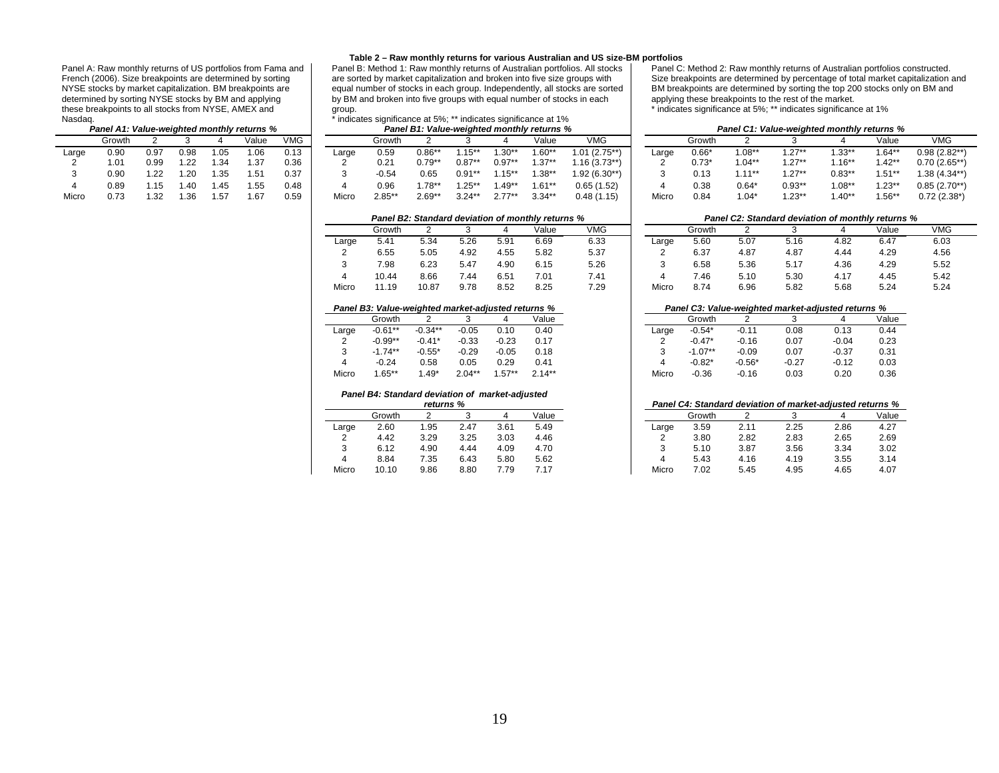Panel A: Raw monthly returns of US portfolios from Fama and French (2006). Size breakpoints are determined by sorting NYSE stocks by market capitalization. BM breakpoints are determined by sorting NYSE stocks by BM and applying these breakpoints to all stocks from NYSE, AMEX and Nasdaq.

## *Panel A1: Value-weighted monthly returns % Panel B1: Value-weighted monthly returns % Panel C1: Value-weighted monthly returns %*

|       | Growth |      | 3    | 4    | Value | VMG  |
|-------|--------|------|------|------|-------|------|
| Large | 0.90   | 0.97 | 0.98 | 1.05 | 1.06  | 0.13 |
| 2     | 1.01   | 0.99 | 1.22 | 1.34 | 1.37  | 0.36 |
| 3     | 0.90   | 1.22 | 1.20 | 1.35 | 1.51  | 0.37 |
| 4     | 0.89   | 1.15 | 1.40 | 1.45 | 1.55  | 0.48 |
| Micro | 0.73   | 1.32 | 1.36 | 1.57 | 1.67  | በ 59 |

## **Table 2 – Raw monthly returns for various Australian and US size-BM portfolios**

Panel B: Method 1: Raw monthly returns of Australian portfolios. All stocks are sorted by market capitalization and broken into five size groups with equal number of stocks in each group. Independently, all stocks are sorted by BM and broken into five groups with equal number of stocks in each group.

## $\frac{1}{\pi}$  indicates significance at 5%; \*\* indicates significance at 1%<br>Banel B1: Value woighted monthly returns %

|       | <b>Faller AT. Value-weighted monthly returns</b> % |      |      |     |       |      | Panel Bi . value-weighted monthly returns % |           |                     |             |             |          |                |       | <b>Faller CT. Value-weighted monthly returns %</b> |           |                   |           |           |               |  |
|-------|----------------------------------------------------|------|------|-----|-------|------|---------------------------------------------|-----------|---------------------|-------------|-------------|----------|----------------|-------|----------------------------------------------------|-----------|-------------------|-----------|-----------|---------------|--|
|       | Growth                                             |      |      |     | Value | VMG  |                                             | Growth    |                     |             |             | Value    | <b>VMG</b>     |       | Growtl                                             |           |                   |           | Value     | <b>VMG</b>    |  |
| ∟arqe | 0.90                                               | 0.97 | 0.98 |     | .06   | 0.13 | Large                                       | 0.59      | $0.86**$            | $.15**$     | $.30**$     | 1.60**   | $1.01(2.75**)$ | Large | $0.66*$                                            | $1.08**$  | $.27***$          | 33**      | "*1.64    | $0.98(2.82**$ |  |
|       | .01                                                | 0.99 | 1.22 | .34 | .37   | 0.36 |                                             | 0.21      | $0.79^{\star\star}$ | $0.87^{**}$ | $0.97^{**}$ | 1.37**   | $.16(3.73***)$ |       | $0.73*$                                            | $1.04***$ | $.27***$          | $1.16***$ | ''1.42    | $0.70(2.65**$ |  |
|       | 0.90                                               | 1.22 | .20  | .35 | .51   | 0.37 |                                             | $-0.54$   | 0.65                | 0.91**      | $1.15***$   | 1.38**   | 1.92 (6.30**)  |       | 0.13                                               | $1.11***$ | $.27***$          | $0.83***$ | 1.51**    | 1.38 (4.34**  |  |
|       | 0.89                                               | .15  | .40  | .45 | .55   | 0.48 |                                             | 0.96      | 78**                | $.25**$     | $.49**$     | 1.61**   | 0.65(1.52)     |       | 0.38                                               | $0.64*$   | $0.93^{\ast\ast}$ | $1.08***$ | $.23**$   | $0.85(2.70**$ |  |
| Micro | 0.73                                               | 1.32 | l.36 | .57 | .67   | 0.59 | Micro                                       | $2.85***$ | $2.69**$            | $3.24***$   | $2.77***$   | $3.34**$ | 0.48(1.15)     | Micro | 0.84                                               | $1.04*$   | $1.23**$          | $1.40**$  | $1.56***$ | $0.72(2.38*)$ |  |

|       | Growth |       | 3    | 4    | Value | <b>VMG</b> |
|-------|--------|-------|------|------|-------|------------|
| Large | 5.41   | 5.34  | 5.26 | 5.91 | 6.69  | 6.33       |
| 2     | 6.55   | 5.05  | 4.92 | 4.55 | 5.82  | 5.37       |
| 3     | 7.98   | 6.23  | 5.47 | 4.90 | 6.15  | 5.26       |
| 4     | 1044   | 8.66  | 7.44 | 6.51 | 7.01  | 7.41       |
| Micro | 11.19  | 10.87 | 9.78 | 8.52 | 8.25  | 7.29       |

٠.

|       | Growth    | 2         | 3        | 4        | Value    |
|-------|-----------|-----------|----------|----------|----------|
| Large | $-0.61**$ | $-0.34**$ | $-0.05$  | 0.10     | 0.40     |
| 2     | $-0.99**$ | $-0.41*$  | $-0.33$  | $-0.23$  | 0.17     |
| 3     | $-1.74**$ | $-0.55*$  | $-0.29$  | $-0.05$  | 0.18     |
| 4     | $-0.24$   | 0.58      | 0.05     | 0.29     | 0.41     |
| Micro | $1.65***$ | $1.49*$   | $2.04**$ | $1.57**$ | $2.14**$ |

## *Panel B4: Standard deviation of market-adjusted*

|       | returns % |      |      |      |       |  |  |  |  |  |  |  |
|-------|-----------|------|------|------|-------|--|--|--|--|--|--|--|
|       | Growth    |      | 3    | 4    | Value |  |  |  |  |  |  |  |
| Large | 2.60      | 1.95 | 2.47 | 3.61 | 5.49  |  |  |  |  |  |  |  |
| 2     | 4.42      | 3.29 | 3.25 | 3.03 | 4.46  |  |  |  |  |  |  |  |
| 3     | 6.12      | 4.90 | 4.44 | 4.09 | 4.70  |  |  |  |  |  |  |  |
| 4     | 8.84      | 7.35 | 6.43 | 5.80 | 5.62  |  |  |  |  |  |  |  |
| Micro | 10.10     | 9.86 | 8.80 | 7.79 | 7.17  |  |  |  |  |  |  |  |

Panel C: Method 2: Raw monthly returns of Australian portfolios constructed. Size breakpoints are determined by percentage of total market capitalization and BM breakpoints are determined by sorting the top 200 stocks only on BM and applying these breakpoints to the rest of the market.

\* indicates significance at 5%; \*\* indicates significance at 1%

|       | Panel A1: Value-weighted monthly returns % |      |      |      |       |            | Panel B1: Value-weighted monthly returns % |                               |             |             |          |           |                |       | Panel C1: Value-weighted monthly returns % |           |           |           |          |                |  |
|-------|--------------------------------------------|------|------|------|-------|------------|--------------------------------------------|-------------------------------|-------------|-------------|----------|-----------|----------------|-------|--------------------------------------------|-----------|-----------|-----------|----------|----------------|--|
|       | Growth                                     |      |      |      | √alue | <b>VMG</b> |                                            | <b>VMG</b><br>Value<br>Growth |             |             |          |           |                |       | Growth                                     |           |           |           | Value    | <b>VMG</b>     |  |
| Large | 0.90                                       | :פ.כ | 0.98 |      | 06. ، | .142       | Large                                      | 0.59                          | 0.86**      | $15***$     | $.30**$  | $.60**$   | $1.01(2.75**)$ | Large | $0.66^*$                                   | $1.08**$  | $1.27**$  | $.33***$  | .64**    | $0.98(2.82**)$ |  |
|       | .01                                        | ).99 | .22  | 31   | .37   | 0.36       |                                            | $0.2^{\cdot}$                 | $0.79^{**}$ | $0.87^{**}$ | $0.97**$ | $1.37**$  | $1.16(3.73**)$ |       | $0.73*$                                    | $1.04***$ | $1.27***$ | 16**      | $1.42**$ | $0.70(2.65**)$ |  |
|       | 0.90                                       | .22  | .20  | . 35 | .51   | 0.37       |                                            | $-0.54$                       | 0.65        | $0.91***$   | $.15***$ | $.38**$   | $1.92(6.30**)$ |       | 0.13                                       | $4.4 *$   | $1.27**$  | $0.83**$  | i.51**   | $.38(4.34**)$  |  |
|       | 0.89                                       |      | .40  |      |       | 0.48       |                                            | 0.96                          | **1.78      | $.25***$    | $.49**$  | l.61**    | 0.65(1.52)     |       | 0.38                                       | $0.64*$   | $0.93**$  | $1.08***$ | $1.23**$ | $0.85(2.70**)$ |  |
| Micro | 0.73                                       | 1.32 | .36  |      | 1.67  | 0.59       | Micro                                      | $2.85***$                     | $2.69**$    | $3.24***$   | $2.77**$ | $3.34***$ | 0.48(1.15)     | Micro | 0.84                                       | 1.04*     | $1.23***$ | $.40**$   | $1.56**$ | $0.72(2.38*)$  |  |

## *Panel B2: Standard deviation of monthly returns % Panel C2: Standard deviation of monthly returns %* Growth 2 3 4 Value VMG ] \_\_\_\_\_\_\_\_Growth 2 3 4 Value VMG Large 5.41 5.34 5.26 5.91 6.69 6.33 Large 5.60 5.07 5.16 4.82 6.47 6.03 2 6.55 5.05 4.92 4.55 5.82 5.37 2 6.37 4.87 4.87 4.44 4.29 4.56 3 7.98 6.23 5.47 4.90 6.15 5.26 3 6.58 5.36 5.17 4.36 4.29 5.52 4 10.44 8.66 7.44 6.51 7.01 7.41 4 7.46 5.10 5.30 4.17 4.45 5.42 Micro 11.19 10.87 9.78 8.52 8.25 7.29 Micro 8.74 6.96 5.82 5.68 5.24 5.24

## *Panel B3: Value-weighted market-adjusted returns % Panel C3: Value-weighted market-adjusted returns %*

|       | Growth     |           |           |         | Value     |       | Growth    |          |         |         |  |
|-------|------------|-----------|-----------|---------|-----------|-------|-----------|----------|---------|---------|--|
| Large | $-0.61**$  | $-0.34**$ | $-0.05$   | 0.10    | 0.40      | Large | $-0.54*$  | $-0.11$  | 0.08    | 0.13    |  |
|       | $-0.99**$  | $-0.41*$  | $-0.33$   | $-0.23$ | 0.17      |       | $-0.47*$  | $-0.16$  | 0.07    | $-0.04$ |  |
|       | $-1.74***$ | $-0.55^*$ | $-0.29$   | $-0.05$ | 0.18      |       | $-1.07**$ | $-0.09$  | 0.07    | $-0.37$ |  |
| 4     | $-0.24$    | 0.58      | 0.05      | 0.29    | 0.41      |       | $-0.82^*$ | $-0.56*$ | $-0.27$ | $-0.12$ |  |
| Micro | $.65***$   | $.49*$    | $2.04***$ | $.57**$ | $2.14***$ | Micro | $-0.36$   | $-0.16$  | 0.03    | 0.20    |  |

## *returns % Panel C4: Standard deviation of market-adjusted returns %*

|       | Growth |      |      | 4    | Value |
|-------|--------|------|------|------|-------|
| Large | 2.60   | .95  | 2.47 | 3.61 | 5.49  |
| -     | 4.42   | 3.29 | 3.25 | 3.03 | 4.46  |
| ບ     | 6.12   | 4.90 | 4.44 | 4.09 | 4.70  |
| 4     | 8.84   | 7.35 | 6.43 | 5.80 | 5.62  |
| Micro | 10.10  | 9.86 | 8.80 | 7.79 | 717   |